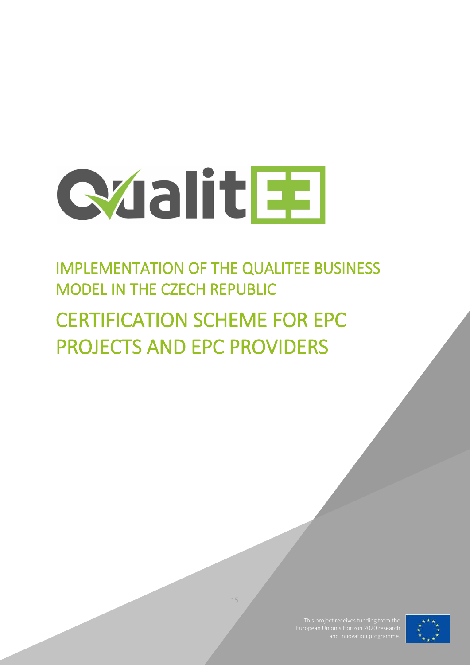

# IMPLEMENTATION OF THE QUALITEE BUSINESS MODEL IN THE CZECH REPUBLIC

# CERTIFICATION SCHEME FOR EPC PROJECTS AND EPC PROVIDERS



15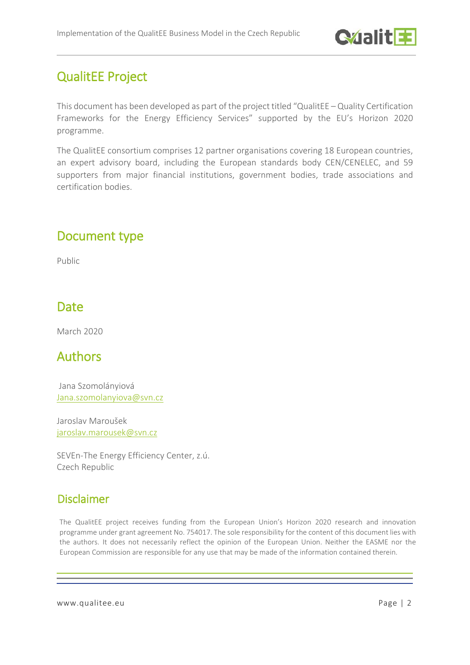

# QualitEE Project

This document has been developed as part of the project titled "QualitEE – Quality Certification Frameworks for the Energy Efficiency Services" supported by the EU's Horizon 2020 programme.

The QualitEE consortium comprises 12 partner organisations covering 18 European countries, an expert advisory board, including the European standards body CEN/CENELEC, and 59 supporters from major financial institutions, government bodies, trade associations and certification bodies.

# Document type

Public

## Date

March 2020

## Authors

Jana Szomolányiová [Jana.szomolanyiova@svn.cz](mailto:Jana.szomolanyiova@svn.cz)

Jaroslav Maroušek [jaroslav.marousek@svn.cz](mailto:jaroslav.marousek@svn.cz)

SEVEn-The Energy Efficiency Center, z.ú. Czech Republic

## Disclaimer

The QualitEE project receives funding from the European Union's Horizon 2020 research and innovation programme under grant agreement No. 754017. The sole responsibility for the content of this document lies with the authors. It does not necessarily reflect the opinion of the European Union. Neither the EASME nor the European Commission are responsible for any use that may be made of the information contained therein.

www.qualitee.eu Page | 2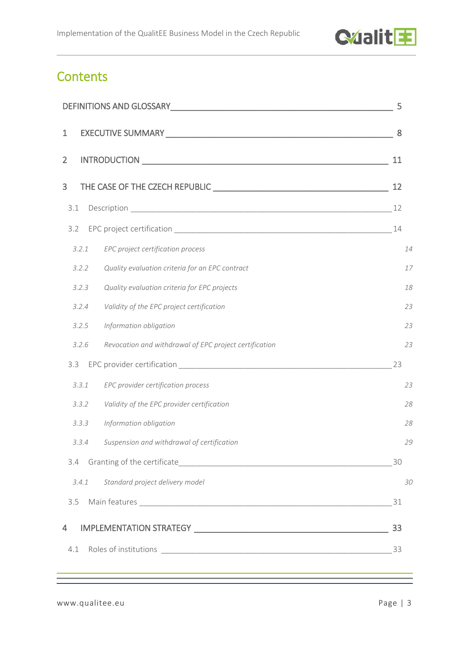

# **Contents**

| DEFINITIONS AND GLOSSARY NEWSLET AND THE RESERVE AND THE RESERVE AND THE RESERVE AND THE RESERVE AND THE RESERVE AND THE RESERVE AND THE RESERVE AND THE RESERVE AND THE RESERVE AND THE RESERVE AND THE RESERVE AND THE RESER | 5  |
|--------------------------------------------------------------------------------------------------------------------------------------------------------------------------------------------------------------------------------|----|
| $\mathbf 1$                                                                                                                                                                                                                    | 8  |
| $\overline{2}$                                                                                                                                                                                                                 | 11 |
| 3                                                                                                                                                                                                                              | 12 |
| 3.1                                                                                                                                                                                                                            | 12 |
| 3.2                                                                                                                                                                                                                            | 14 |
| EPC project certification process<br>3.2.1                                                                                                                                                                                     | 14 |
| Quality evaluation criteria for an EPC contract<br>3.2.2                                                                                                                                                                       | 17 |
| 3.2.3<br>Quality evaluation criteria for EPC projects                                                                                                                                                                          | 18 |
| Validity of the EPC project certification<br>3.2.4                                                                                                                                                                             | 23 |
| 3.2.5<br>Information obligation                                                                                                                                                                                                | 23 |
| Revocation and withdrawal of EPC project certification<br>3.2.6                                                                                                                                                                | 23 |
| 3.3                                                                                                                                                                                                                            | 23 |
| EPC provider certification process<br>3.3.1                                                                                                                                                                                    | 23 |
| Validity of the EPC provider certification<br>3.3.2                                                                                                                                                                            | 28 |
| Information obligation<br>3.3.3                                                                                                                                                                                                | 28 |
| Suspension and withdrawal of certification<br>3.3.4                                                                                                                                                                            | 29 |
|                                                                                                                                                                                                                                | 30 |
| 3.4.1<br>Standard project delivery model                                                                                                                                                                                       | 30 |
| 3.5                                                                                                                                                                                                                            | 31 |
| 4                                                                                                                                                                                                                              | 33 |
| 4.1                                                                                                                                                                                                                            | 33 |
|                                                                                                                                                                                                                                |    |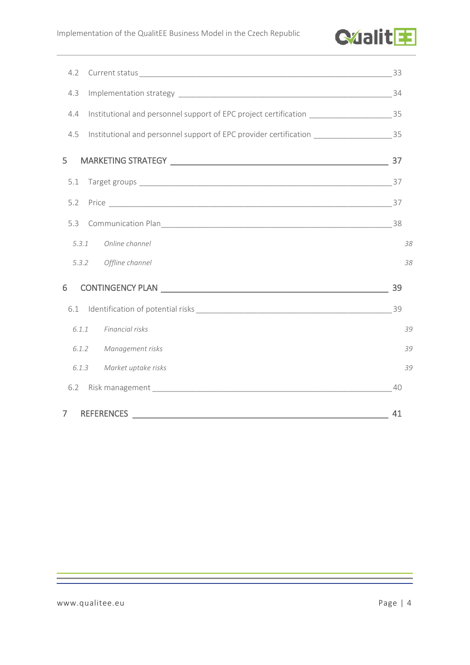

| 4.2   |                                                                                             |    |
|-------|---------------------------------------------------------------------------------------------|----|
| 4.3   |                                                                                             | 34 |
| 4.4   | Institutional and personnel support of EPC project certification _______________________35  |    |
| 4.5   | Institutional and personnel support of EPC provider certification _______________________35 |    |
| 5     |                                                                                             | 37 |
| 5.1   |                                                                                             |    |
| 5.2   |                                                                                             |    |
| 5.3   |                                                                                             |    |
| 5.3.1 | Online channel                                                                              | 38 |
| 5.3.2 | Offline channel                                                                             | 38 |
| 6     | <b>CONTINGENCY PLAN</b> CONTINGENCY PLAN                                                    | 39 |
| 6.1   |                                                                                             | 39 |
| 6.1.1 | Financial risks                                                                             | 39 |
| 6.1.2 | Management risks                                                                            | 39 |
| 6.1.3 | Market uptake risks                                                                         | 39 |
| 6.2   |                                                                                             | 40 |
| 7     | <b>REFERENCES</b>                                                                           | 41 |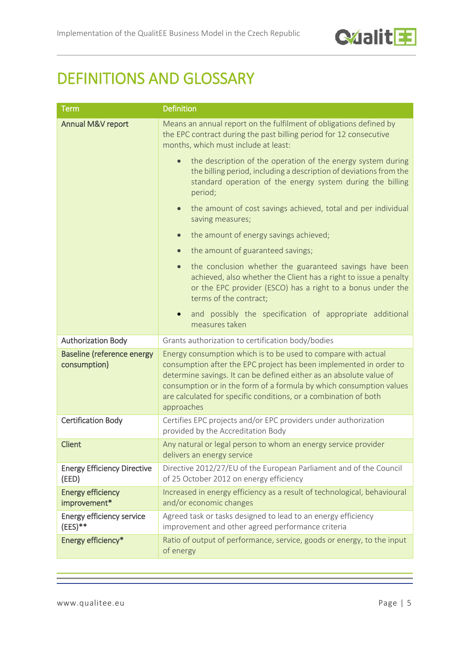

# <span id="page-4-0"></span>DEFINITIONS AND GLOSSARY

| <b>Term</b>                                       | Definition                                                                                                                                                                                                                                                                                                                                                          |  |
|---------------------------------------------------|---------------------------------------------------------------------------------------------------------------------------------------------------------------------------------------------------------------------------------------------------------------------------------------------------------------------------------------------------------------------|--|
| Annual M&V report                                 | Means an annual report on the fulfilment of obligations defined by<br>the EPC contract during the past billing period for 12 consecutive<br>months, which must include at least:                                                                                                                                                                                    |  |
|                                                   | the description of the operation of the energy system during<br>the billing period, including a description of deviations from the<br>standard operation of the energy system during the billing<br>period;                                                                                                                                                         |  |
|                                                   | the amount of cost savings achieved, total and per individual<br>$\bullet$<br>saving measures;                                                                                                                                                                                                                                                                      |  |
|                                                   | the amount of energy savings achieved;                                                                                                                                                                                                                                                                                                                              |  |
|                                                   | the amount of guaranteed savings;                                                                                                                                                                                                                                                                                                                                   |  |
|                                                   | the conclusion whether the guaranteed savings have been<br>$\bullet$<br>achieved, also whether the Client has a right to issue a penalty<br>or the EPC provider (ESCO) has a right to a bonus under the<br>terms of the contract;                                                                                                                                   |  |
|                                                   | and possibly the specification of appropriate additional<br>measures taken                                                                                                                                                                                                                                                                                          |  |
| <b>Authorization Body</b>                         | Grants authorization to certification body/bodies                                                                                                                                                                                                                                                                                                                   |  |
| <b>Baseline (reference energy</b><br>consumption) | Energy consumption which is to be used to compare with actual<br>consumption after the EPC project has been implemented in order to<br>determine savings. It can be defined either as an absolute value of<br>consumption or in the form of a formula by which consumption values<br>are calculated for specific conditions, or a combination of both<br>approaches |  |
| <b>Certification Body</b>                         | Certifies EPC projects and/or EPC providers under authorization<br>provided by the Accreditation Body                                                                                                                                                                                                                                                               |  |
| <b>Client</b>                                     | Any natural or legal person to whom an energy service provider<br>delivers an energy service                                                                                                                                                                                                                                                                        |  |
| <b>Energy Efficiency Directive</b><br>(EED)       | Directive 2012/27/EU of the European Parliament and of the Council<br>of 25 October 2012 on energy efficiency                                                                                                                                                                                                                                                       |  |
| <b>Energy efficiency</b><br>improvement*          | Increased in energy efficiency as a result of technological, behavioural<br>and/or economic changes                                                                                                                                                                                                                                                                 |  |
| Energy efficiency service<br>$(EES)**$            | Agreed task or tasks designed to lead to an energy efficiency<br>improvement and other agreed performance criteria                                                                                                                                                                                                                                                  |  |
| Energy efficiency*                                | Ratio of output of performance, service, goods or energy, to the input<br>of energy                                                                                                                                                                                                                                                                                 |  |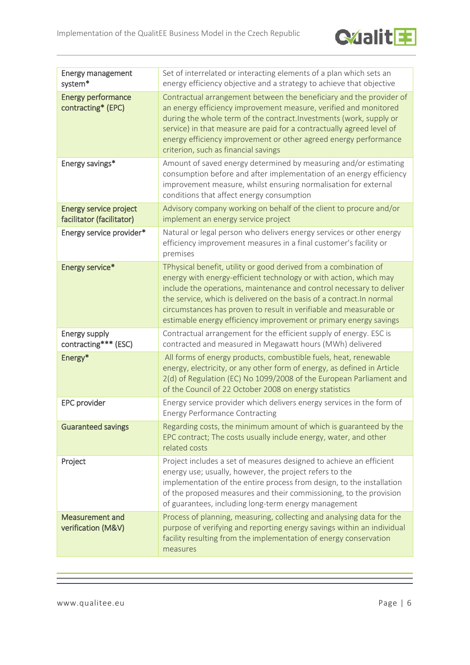

| <b>Energy management</b><br>system*                 | Set of interrelated or interacting elements of a plan which sets an<br>energy efficiency objective and a strategy to achieve that objective                                                                                                                                                                                                                                                                                       |
|-----------------------------------------------------|-----------------------------------------------------------------------------------------------------------------------------------------------------------------------------------------------------------------------------------------------------------------------------------------------------------------------------------------------------------------------------------------------------------------------------------|
| <b>Energy performance</b><br>contracting* (EPC)     | Contractual arrangement between the beneficiary and the provider of<br>an energy efficiency improvement measure, verified and monitored<br>during the whole term of the contract. Investments (work, supply or<br>service) in that measure are paid for a contractually agreed level of<br>energy efficiency improvement or other agreed energy performance<br>criterion, such as financial savings                               |
| Energy savings*                                     | Amount of saved energy determined by measuring and/or estimating<br>consumption before and after implementation of an energy efficiency<br>improvement measure, whilst ensuring normalisation for external<br>conditions that affect energy consumption                                                                                                                                                                           |
| Energy service project<br>facilitator (facilitator) | Advisory company working on behalf of the client to procure and/or<br>implement an energy service project                                                                                                                                                                                                                                                                                                                         |
| Energy service provider*                            | Natural or legal person who delivers energy services or other energy<br>efficiency improvement measures in a final customer's facility or<br>premises                                                                                                                                                                                                                                                                             |
| Energy service*                                     | TPhysical benefit, utility or good derived from a combination of<br>energy with energy-efficient technology or with action, which may<br>include the operations, maintenance and control necessary to deliver<br>the service, which is delivered on the basis of a contract. In normal<br>circumstances has proven to result in verifiable and measurable or<br>estimable energy efficiency improvement or primary energy savings |
| <b>Energy supply</b><br>contracting*** (ESC)        | Contractual arrangement for the efficient supply of energy. ESC is<br>contracted and measured in Megawatt hours (MWh) delivered                                                                                                                                                                                                                                                                                                   |
| Energy*                                             | All forms of energy products, combustible fuels, heat, renewable<br>energy, electricity, or any other form of energy, as defined in Article<br>2(d) of Regulation (EC) No 1099/2008 of the European Parliament and<br>of the Council of 22 October 2008 on energy statistics                                                                                                                                                      |
| <b>EPC</b> provider                                 | Energy service provider which delivers energy services in the form of<br><b>Energy Performance Contracting</b>                                                                                                                                                                                                                                                                                                                    |
| <b>Guaranteed savings</b>                           | Regarding costs, the minimum amount of which is guaranteed by the<br>EPC contract; The costs usually include energy, water, and other<br>related costs                                                                                                                                                                                                                                                                            |
| Project                                             | Project includes a set of measures designed to achieve an efficient<br>energy use; usually, however, the project refers to the<br>implementation of the entire process from design, to the installation<br>of the proposed measures and their commissioning, to the provision<br>of guarantees, including long-term energy management                                                                                             |
| <b>Measurement and</b><br>verification (M&V)        | Process of planning, measuring, collecting and analysing data for the<br>purpose of verifying and reporting energy savings within an individual<br>facility resulting from the implementation of energy conservation<br>measures                                                                                                                                                                                                  |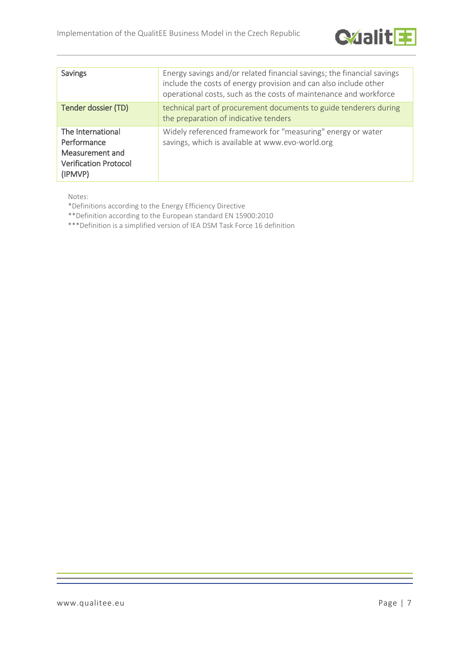

| <b>Savings</b>                                                                                 | Energy savings and/or related financial savings; the financial savings<br>include the costs of energy provision and can also include other<br>operational costs, such as the costs of maintenance and workforce |
|------------------------------------------------------------------------------------------------|-----------------------------------------------------------------------------------------------------------------------------------------------------------------------------------------------------------------|
| Tender dossier (TD)                                                                            | technical part of procurement documents to guide tenderers during<br>the preparation of indicative tenders                                                                                                      |
| The International<br>Performance<br>Measurement and<br><b>Verification Protocol</b><br>(IPMVP) | Widely referenced framework for "measuring" energy or water<br>savings, which is available at www.evo-world.org                                                                                                 |

Notes:

\*Definitions according to the Energy Efficiency Directive

\*\*Definition according to the European standard EN 15900:2010

\*\*\*Definition is a simplified version of IEA DSM Task Force 16 definition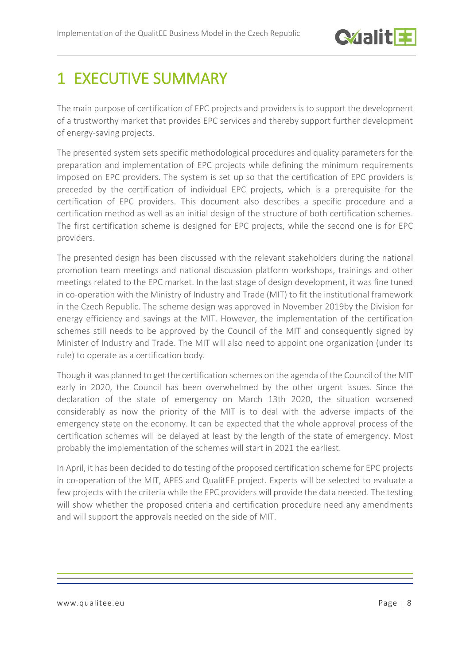

# <span id="page-7-0"></span>1 EXECUTIVE SUMMARY

The main purpose of certification of EPC projects and providers is to support the development of a trustworthy market that provides EPC services and thereby support further development of energy-saving projects.

The presented system sets specific methodological procedures and quality parameters for the preparation and implementation of EPC projects while defining the minimum requirements imposed on EPC providers. The system is set up so that the certification of EPC providers is preceded by the certification of individual EPC projects, which is a prerequisite for the certification of EPC providers. This document also describes a specific procedure and a certification method as well as an initial design of the structure of both certification schemes. The first certification scheme is designed for EPC projects, while the second one is for EPC providers.

The presented design has been discussed with the relevant stakeholders during the national promotion team meetings and national discussion platform workshops, trainings and other meetings related to the EPC market. In the last stage of design development, it was fine tuned in co-operation with the Ministry of Industry and Trade (MIT) to fit the institutional framework in the Czech Republic. The scheme design was approved in November 2019by the Division for energy efficiency and savings at the MIT. However, the implementation of the certification schemes still needs to be approved by the Council of the MIT and consequently signed by Minister of Industry and Trade. The MIT will also need to appoint one organization (under its rule) to operate as a certification body.

Though it was planned to get the certification schemes on the agenda of the Council of the MIT early in 2020, the Council has been overwhelmed by the other urgent issues. Since the declaration of the state of emergency on March 13th 2020, the situation worsened considerably as now the priority of the MIT is to deal with the adverse impacts of the emergency state on the economy. It can be expected that the whole approval process of the certification schemes will be delayed at least by the length of the state of emergency. Most probably the implementation of the schemes will start in 2021 the earliest.

In April, it has been decided to do testing of the proposed certification scheme for EPC projects in co-operation of the MIT, APES and QualitEE project. Experts will be selected to evaluate a few projects with the criteria while the EPC providers will provide the data needed. The testing will show whether the proposed criteria and certification procedure need any amendments and will support the approvals needed on the side of MIT.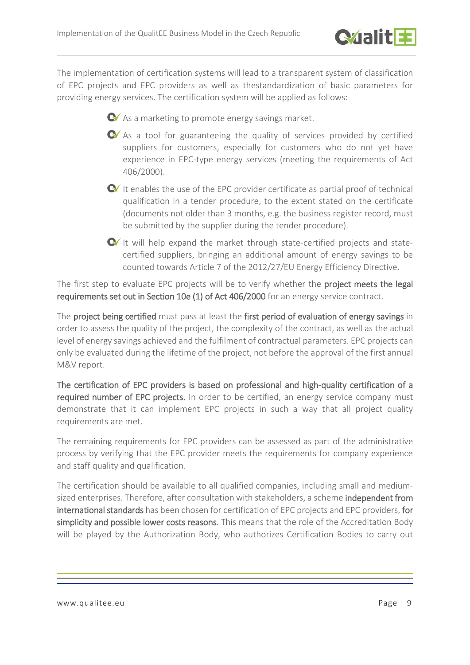

The implementation of certification systems will lead to a transparent system of classification of EPC projects and EPC providers as well as thestandardization of basic parameters for providing energy services. The certification system will be applied as follows:



 $\bullet$  As a marketing to promote energy savings market.

- As a tool for guaranteeing the quality of services provided by certified suppliers for customers, especially for customers who do not yet have experience in EPC-type energy services (meeting the requirements of Act 406/2000).
- $\bullet$  It enables the use of the EPC provider certificate as partial proof of technical qualification in a tender procedure, to the extent stated on the certificate (documents not older than 3 months, e.g. the business register record, must be submitted by the supplier during the tender procedure).
- $\bullet$  It will help expand the market through state-certified projects and statecertified suppliers, bringing an additional amount of energy savings to be counted towards Article 7 of the 2012/27/EU Energy Efficiency Directive.

The first step to evaluate EPC projects will be to verify whether the project meets the legal requirements set out in Section 10e (1) of Act 406/2000 for an energy service contract.

The project being certified must pass at least the first period of evaluation of energy savings in order to assess the quality of the project, the complexity of the contract, as well as the actual level of energy savings achieved and the fulfilment of contractual parameters. EPC projects can only be evaluated during the lifetime of the project, not before the approval of the first annual M&V report.

The certification of EPC providers is based on professional and high-quality certification of a required number of EPC projects. In order to be certified, an energy service company must demonstrate that it can implement EPC projects in such a way that all project quality requirements are met.

The remaining requirements for EPC providers can be assessed as part of the administrative process by verifying that the EPC provider meets the requirements for company experience and staff quality and qualification.

The certification should be available to all qualified companies, including small and mediumsized enterprises. Therefore, after consultation with stakeholders, a scheme independent from international standards has been chosen for certification of EPC projects and EPC providers, for simplicity and possible lower costs reasons. This means that the role of the Accreditation Body will be played by the Authorization Body, who authorizes Certification Bodies to carry out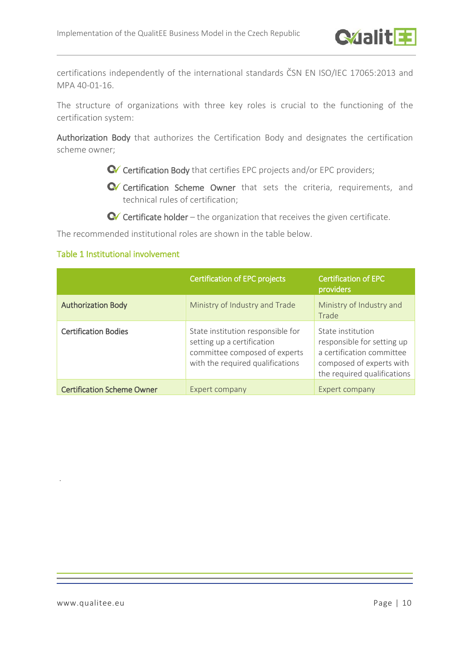certifications independently of the international standards ČSN EN ISO/IEC 17065:2013 and MPA 40-01-16.

The structure of organizations with three key roles is crucial to the functioning of the certification system:

Authorization Body that authorizes the Certification Body and designates the certification scheme owner;

- C Certification Body that certifies EPC projects and/or EPC providers;
- Certification Scheme Owner that sets the criteria, requirements, and technical rules of certification;
- $\bullet$  Certificate holder the organization that receives the given certificate.

The recommended institutional roles are shown in the table below.

#### Table 1 Institutional involvement

|                                   | <b>Certification of EPC projects</b>                                                                                                 | <b>Certification of EPC</b><br>providers                                                                                                |
|-----------------------------------|--------------------------------------------------------------------------------------------------------------------------------------|-----------------------------------------------------------------------------------------------------------------------------------------|
| <b>Authorization Body</b>         | Ministry of Industry and Trade                                                                                                       | Ministry of Industry and<br>Trade                                                                                                       |
| <b>Certification Bodies</b>       | State institution responsible for<br>setting up a certification<br>committee composed of experts<br>with the required qualifications | State institution<br>responsible for setting up<br>a certification committee<br>composed of experts with<br>the required qualifications |
| <b>Certification Scheme Owner</b> | Expert company                                                                                                                       | Expert company                                                                                                                          |

.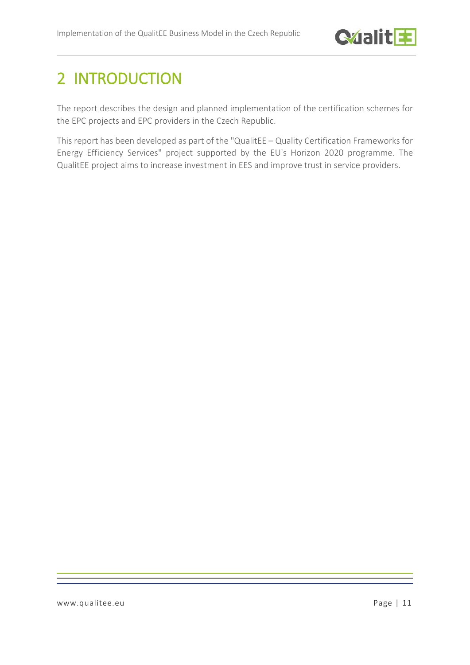

# <span id="page-10-0"></span>2 INTRODUCTION

The report describes the design and planned implementation of the certification schemes for the EPC projects and EPC providers in the Czech Republic.

This report has been developed as part of the "QualitEE – Quality Certification Frameworks for Energy Efficiency Services" project supported by the EU's Horizon 2020 programme. The QualitEE project aims to increase investment in EES and improve trust in service providers.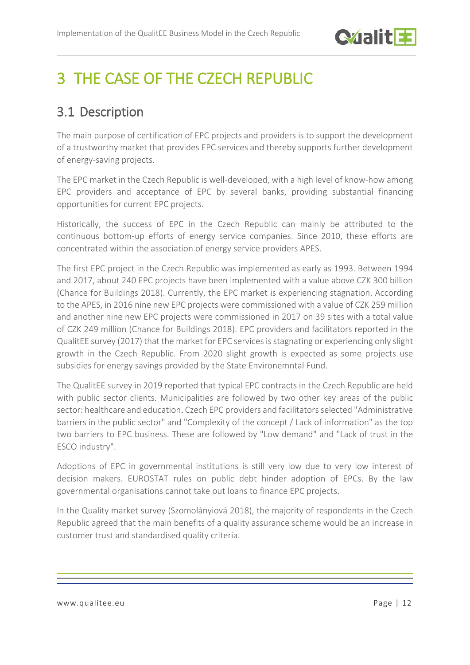# <span id="page-11-0"></span>3 THE CASE OF THE CZECH REPUBLIC

# <span id="page-11-1"></span>3.1 Description

The main purpose of certification of EPC projects and providers is to support the development of a trustworthy market that provides EPC services and thereby supports further development of energy-saving projects.

The EPC market in the Czech Republic is well-developed, with a high level of know-how among EPC providers and acceptance of EPC by several banks, providing substantial financing opportunities for current EPC projects.

Historically, the success of EPC in the Czech Republic can mainly be attributed to the continuous bottom-up efforts of energy service companies. Since 2010, these efforts are concentrated within the association of energy service providers APES.

The first EPC project in the Czech Republic was implemented as early as 1993. Between 1994 and 2017, about 240 EPC projects have been implemented with a value above CZK 300 billion (Chance for Buildings 2018). Currently, the EPC market is experiencing stagnation. According to the APES, in 2016 nine new EPC projects were commissioned with a value of CZK 259 million and another nine new EPC projects were commissioned in 2017 on 39 sites with a total value of CZK 249 million (Chance for Buildings 2018). EPC providers and facilitators reported in the QualitEE survey (2017) that the market for EPC services is stagnating or experiencing only slight growth in the Czech Republic. From 2020 slight growth is expected as some projects use subsidies for energy savings provided by the State Environemntal Fund.

The QualitEE survey in 2019 reported that typical EPC contracts in the Czech Republic are held with public sector clients. Municipalities are followed by two other key areas of the public sector: healthcare and education. Czech EPC providers and facilitators selected "Administrative barriers in the public sector" and "Complexity of the concept / Lack of information" as the top two barriers to EPC business. These are followed by "Low demand" and "Lack of trust in the ESCO industry".

Adoptions of EPC in governmental institutions is still very low due to very low interest of decision makers. EUROSTAT rules on public debt hinder adoption of EPCs. By the law governmental organisations cannot take out loans to finance EPC projects.

In the Quality market survey (Szomolányiová 2018), the majority of respondents in the Czech Republic agreed that the main benefits of a quality assurance scheme would be an increase in customer trust and standardised quality criteria.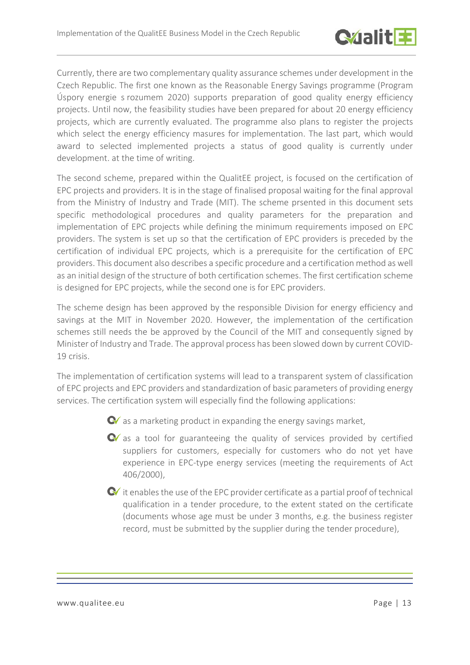

Currently, there are two complementary quality assurance schemes under development in the Czech Republic. The first one known as the Reasonable Energy Savings programme (Program Úspory energie s rozumem 2020) supports preparation of good quality energy efficiency projects. Until now, the feasibility studies have been prepared for about 20 energy efficiency projects, which are currently evaluated. The programme also plans to register the projects which select the energy efficiency masures for implementation. The last part, which would award to selected implemented projects a status of good quality is currently under development. at the time of writing.

The second scheme, prepared within the QualitEE project, is focused on the certification of EPC projects and providers. It is in the stage of finalised proposal waiting for the final approval from the Ministry of Industry and Trade (MIT). The scheme prsented in this document sets specific methodological procedures and quality parameters for the preparation and implementation of EPC projects while defining the minimum requirements imposed on EPC providers. The system is set up so that the certification of EPC providers is preceded by the certification of individual EPC projects, which is a prerequisite for the certification of EPC providers. This document also describes a specific procedure and a certification method as well as an initial design of the structure of both certification schemes. The first certification scheme is designed for EPC projects, while the second one is for EPC providers.

The scheme design has been approved by the responsible Division for energy efficiency and savings at the MIT in November 2020. However, the implementation of the certification schemes still needs the be approved by the Council of the MIT and consequently signed by Minister of Industry and Trade. The approval process has been slowed down by current COVID-19 crisis.

The implementation of certification systems will lead to a transparent system of classification of EPC projects and EPC providers and standardization of basic parameters of providing energy services. The certification system will especially find the following applications:

 $\bullet$  as a marketing product in expanding the energy savings market,

- $\bullet$  as a tool for guaranteeing the quality of services provided by certified suppliers for customers, especially for customers who do not yet have experience in EPC-type energy services (meeting the requirements of Act 406/2000),
- $\bullet$  it enables the use of the EPC provider certificate as a partial proof of technical qualification in a tender procedure, to the extent stated on the certificate (documents whose age must be under 3 months, e.g. the business register record, must be submitted by the supplier during the tender procedure),

www.qualitee.eu Page | 13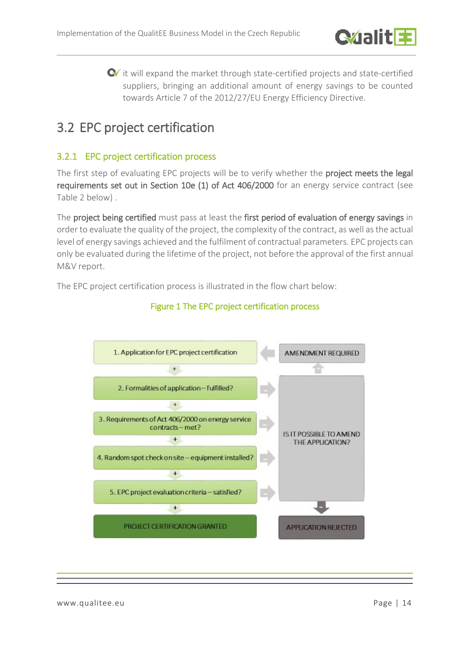

 $\bullet$  it will expand the market through state-certified projects and state-certified suppliers, bringing an additional amount of energy savings to be counted towards Article 7 of the 2012/27/EU Energy Efficiency Directive.

# <span id="page-13-0"></span>3.2 EPC project certification

## <span id="page-13-1"></span>3.2.1 EPC project certification process

The first step of evaluating EPC projects will be to verify whether the **project meets the legal** requirements set out in Section 10e (1) of Act 406/2000 for an energy service contract (see [Table 2](#page-16-1) below) .

The project being certified must pass at least the first period of evaluation of energy savings in order to evaluate the quality of the project, the complexity of the contract, as well as the actual level of energy savings achieved and the fulfilment of contractual parameters. EPC projects can only be evaluated during the lifetime of the project, not before the approval of the first annual M&V report.

The EPC project certification process is illustrated in the flow chart below:



### Figure 1 The EPC project certification process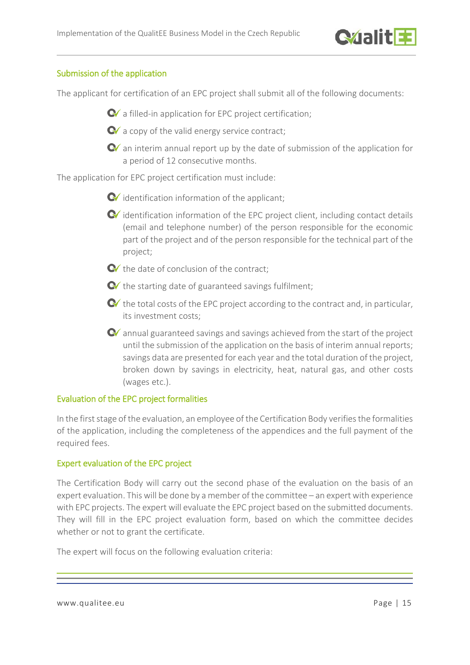

#### Submission of the application

The applicant for certification of an EPC project shall submit all of the following documents:

 $\bullet$  a filled-in application for EPC project certification;

 $\bullet$  a copy of the valid energy service contract:

 $\bullet$  an interim annual report up by the date of submission of the application for a period of 12 consecutive months.

The application for EPC project certification must include:

 $\bullet$  identification information of the applicant:

- $\bullet$  identification information of the EPC project client, including contact details (email and telephone number) of the person responsible for the economic part of the project and of the person responsible for the technical part of the project;
- $\bullet$  the date of conclusion of the contract;
- $\bullet$  the starting date of guaranteed savings fulfilment;
- $\bullet$  the total costs of the EPC project according to the contract and, in particular, its investment costs;
- $\bullet$  annual guaranteed savings and savings achieved from the start of the project until the submission of the application on the basis of interim annual reports; savings data are presented for each year and the total duration of the project, broken down by savings in electricity, heat, natural gas, and other costs (wages etc.).

#### Evaluation of the EPC project formalities

In the first stage of the evaluation, an employee of the Certification Body verifies the formalities of the application, including the completeness of the appendices and the full payment of the required fees.

#### Expert evaluation of the EPC project

The Certification Body will carry out the second phase of the evaluation on the basis of an expert evaluation. This will be done by a member of the committee – an expert with experience with EPC projects. The expert will evaluate the EPC project based on the submitted documents. They will fill in the EPC project evaluation form, based on which the committee decides whether or not to grant the certificate.

The expert will focus on the following evaluation criteria:

www.qualitee.eu Page | 15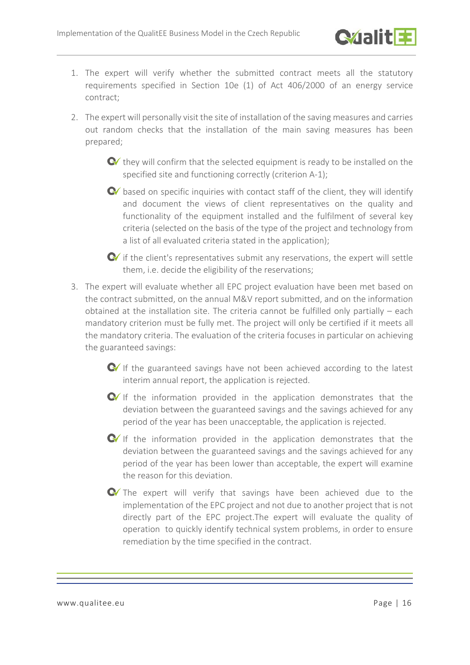

- 1. The expert will verify whether the submitted contract meets all the statutory requirements specified in Section 10e (1) of Act 406/2000 of an energy service contract;
- 2. The expert will personally visit the site of installation of the saving measures and carries out random checks that the installation of the main saving measures has been prepared;
	- **C** they will confirm that the selected equipment is ready to be installed on the specified site and functioning correctly (criterion A-1);
	- $\bullet$  based on specific inquiries with contact staff of the client, they will identify and document the views of client representatives on the quality and functionality of the equipment installed and the fulfilment of several key criteria (selected on the basis of the type of the project and technology from a list of all evaluated criteria stated in the application);

 $\bullet$  if the client's representatives submit any reservations, the expert will settle them, i.e. decide the eligibility of the reservations;

- 3. The expert will evaluate whether all EPC project evaluation have been met based on the contract submitted, on the annual M&V report submitted, and on the information obtained at the installation site. The criteria cannot be fulfilled only partially – each mandatory criterion must be fully met. The project will only be certified if it meets all the mandatory criteria. The evaluation of the criteria focuses in particular on achieving the guaranteed savings:
	- $\bullet$  If the guaranteed savings have not been achieved according to the latest interim annual report, the application is rejected.
	- $\bullet$  If the information provided in the application demonstrates that the deviation between the guaranteed savings and the savings achieved for any period of the year has been unacceptable, the application is rejected.
	- $\bullet$  If the information provided in the application demonstrates that the deviation between the guaranteed savings and the savings achieved for any period of the year has been lower than acceptable, the expert will examine the reason for this deviation.
	- The expert will verify that savings have been achieved due to the implementation of the EPC project and not due to another project that is not directly part of the EPC project.The expert will evaluate the quality of operation to quickly identify technical system problems, in order to ensure remediation by the time specified in the contract.

www.qualitee.eu Page | 16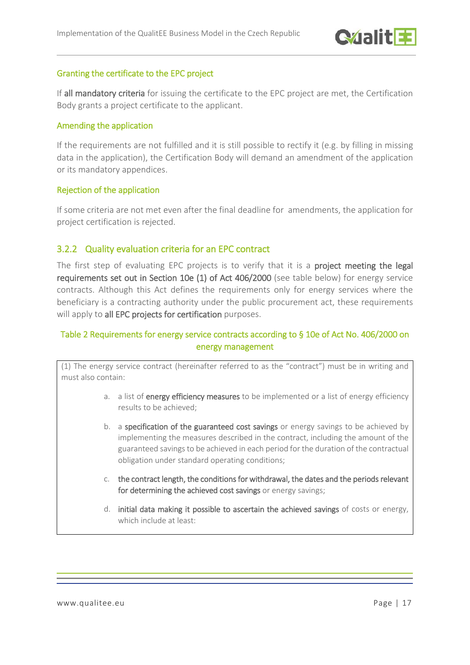

#### Granting the certificate to the EPC project

If all mandatory criteria for issuing the certificate to the EPC project are met, the Certification Body grants a project certificate to the applicant.

#### Amending the application

If the requirements are not fulfilled and it is still possible to rectify it (e.g. by filling in missing data in the application), the Certification Body will demand an amendment of the application or its mandatory appendices.

#### Rejection of the application

If some criteria are not met even after the final deadline for amendments, the application for project certification is rejected.

### <span id="page-16-0"></span>3.2.2 Quality evaluation criteria for an EPC contract

The first step of evaluating EPC projects is to verify that it is a project meeting the legal requirements set out in Section 10e (1) of Act 406/2000 (see table below) for energy service contracts. Although this Act defines the requirements only for energy services where the beneficiary is a contracting authority under the public procurement act, these requirements will apply to all EPC projects for certification purposes.

### <span id="page-16-1"></span>Table 2 Requirements for energy service contracts according to § 10e of Act No. 406/2000 on energy management

(1) The energy service contract (hereinafter referred to as the "contract") must be in writing and must also contain:

- a. a list of energy efficiency measures to be implemented or a list of energy efficiency results to be achieved;
- b. a specification of the guaranteed cost savings or energy savings to be achieved by implementing the measures described in the contract, including the amount of the guaranteed savings to be achieved in each period for the duration of the contractual obligation under standard operating conditions;
- c. the contract length, the conditions for withdrawal, the dates and the periods relevant for determining the achieved cost savings or energy savings;
- d. initial data making it possible to ascertain the achieved savings of costs or energy, which include at least: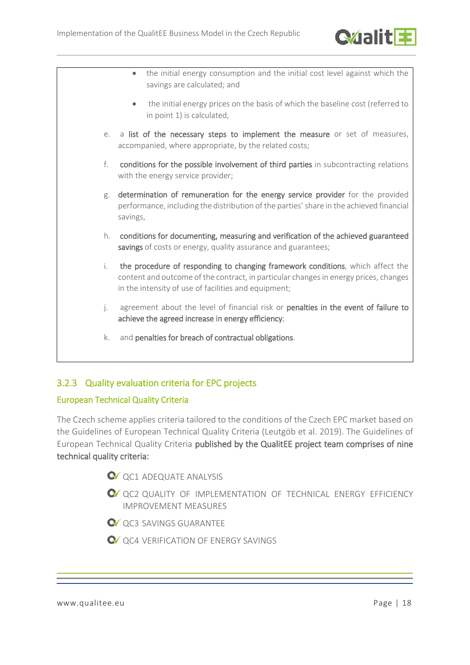

• the initial energy consumption and the initial cost level against which the savings are calculated; and • the initial energy prices on the basis of which the baseline cost (referred to in point 1) is calculated, e. a list of the necessary steps to implement the measure or set of measures, accompanied, where appropriate, by the related costs; f. conditions for the possible involvement of third parties in subcontracting relations with the energy service provider; g. determination of remuneration for the energy service provider for the provided performance, including the distribution of the parties' share in the achieved financial savings, h. conditions for documenting, measuring and verification of the achieved guaranteed savings of costs or energy, quality assurance and guarantees; i. the procedure of responding to changing framework conditions, which affect the content and outcome of the contract, in particular changes in energy prices, changes in the intensity of use of facilities and equipment; j. agreement about the level of financial risk or penalties in the event of failure to achieve the agreed increase in energy efficiency; k. and penalties for breach of contractual obligations.

## <span id="page-17-0"></span>3.2.3 Quality evaluation criteria for EPC projects

### European Technical Quality Criteria

The Czech scheme applies criteria tailored to the conditions of the Czech EPC market based on the Guidelines of European Technical Quality Criteria (Leutgöb et al. 2019). The Guidelines of European Technical Quality Criteria published by the QualitEE project team comprises of nine technical quality criteria:

- **Q** OC1 ADEQUATE ANALYSIS
- QC2 QUALITY OF IMPLEMENTATION OF TECHNICAL ENERGY EFFICIENCY IMPROVEMENT MEASURES
- **QC3 SAVINGS GUARANTEE**
- **Q** OC4 VERIFICATION OF ENERGY SAVINGS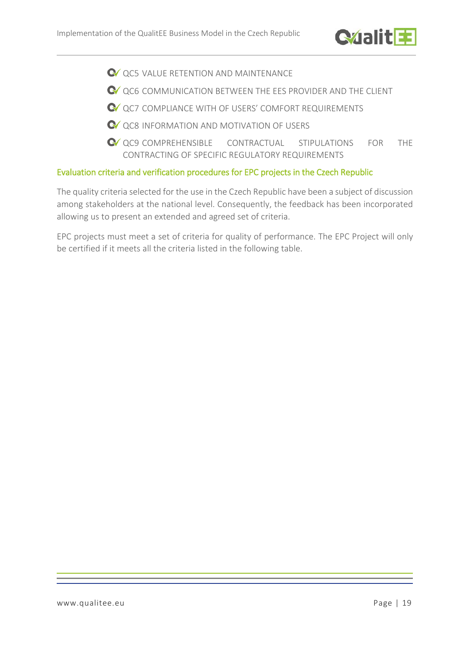

- **QC5 VALUE RETENTION AND MAINTENANCE**
- $\bullet$  ac6 communication between the EES PROVIDER AND THE CLIENT
- QC7 COMPLIANCE WITH OF USERS' COMFORT REQUIREMENTS
- QC8 INFORMATION AND MOTIVATION OF USERS
- $\bullet$  QC9 COMPREHENSIBLE CONTRACTUAL STIPULATIONS FOR THE CONTRACTING OF SPECIFIC REGULATORY REQUIREMENTS

#### Evaluation criteria and verification procedures for EPC projects in the Czech Republic

The quality criteria selected for the use in the Czech Republic have been a subject of discussion among stakeholders at the national level. Consequently, the feedback has been incorporated allowing us to present an extended and agreed set of criteria.

EPC projects must meet a set of criteria for quality of performance. The EPC Project will only be certified if it meets all the criteria listed in the following table.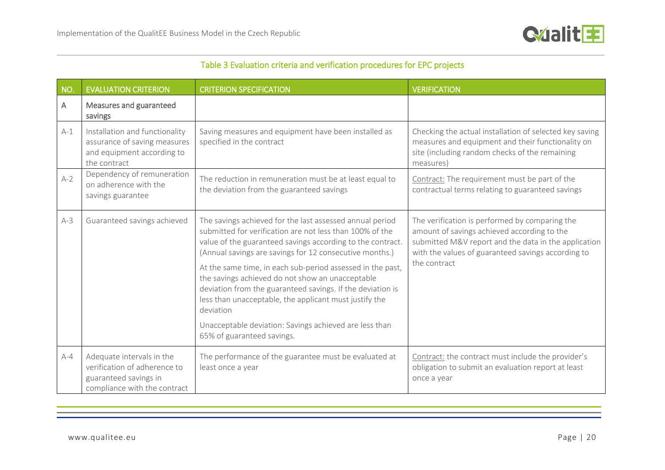

|  |  |  |  |  | Table 3 Evaluation criteria and verification procedures for EPC projects |
|--|--|--|--|--|--------------------------------------------------------------------------|
|--|--|--|--|--|--------------------------------------------------------------------------|

| NO.     | <b>EVALUATION CRITERION</b>                                                                                        | <b>CRITERION SPECIFICATION</b>                                                                                                                                                                                                                                                                                                                                                                                                                                                                                                                                                               | <b>VERIFICATION</b>                                                                                                                                                                                                         |
|---------|--------------------------------------------------------------------------------------------------------------------|----------------------------------------------------------------------------------------------------------------------------------------------------------------------------------------------------------------------------------------------------------------------------------------------------------------------------------------------------------------------------------------------------------------------------------------------------------------------------------------------------------------------------------------------------------------------------------------------|-----------------------------------------------------------------------------------------------------------------------------------------------------------------------------------------------------------------------------|
| A       | Measures and guaranteed<br>savings                                                                                 |                                                                                                                                                                                                                                                                                                                                                                                                                                                                                                                                                                                              |                                                                                                                                                                                                                             |
| $A-1$   | Installation and functionality<br>assurance of saving measures<br>and equipment according to<br>the contract       | Saving measures and equipment have been installed as<br>specified in the contract                                                                                                                                                                                                                                                                                                                                                                                                                                                                                                            | Checking the actual installation of selected key saving<br>measures and equipment and their functionality on<br>site (including random checks of the remaining<br>measures)                                                 |
| $A-2$   | Dependency of remuneration<br>on adherence with the<br>savings guarantee                                           | The reduction in remuneration must be at least equal to<br>the deviation from the guaranteed savings                                                                                                                                                                                                                                                                                                                                                                                                                                                                                         | Contract: The requirement must be part of the<br>contractual terms relating to guaranteed savings                                                                                                                           |
| $A-3$   | Guaranteed savings achieved                                                                                        | The savings achieved for the last assessed annual period<br>submitted for verification are not less than 100% of the<br>value of the guaranteed savings according to the contract.<br>(Annual savings are savings for 12 consecutive months.)<br>At the same time, in each sub-period assessed in the past,<br>the savings achieved do not show an unacceptable<br>deviation from the guaranteed savings. If the deviation is<br>less than unacceptable, the applicant must justify the<br>deviation<br>Unacceptable deviation: Savings achieved are less than<br>65% of guaranteed savings. | The verification is performed by comparing the<br>amount of savings achieved according to the<br>submitted M&V report and the data in the application<br>with the values of guaranteed savings according to<br>the contract |
| $A - 4$ | Adequate intervals in the<br>verification of adherence to<br>guaranteed savings in<br>compliance with the contract | The performance of the guarantee must be evaluated at<br>least once a year                                                                                                                                                                                                                                                                                                                                                                                                                                                                                                                   | Contract: the contract must include the provider's<br>obligation to submit an evaluation report at least<br>once a year                                                                                                     |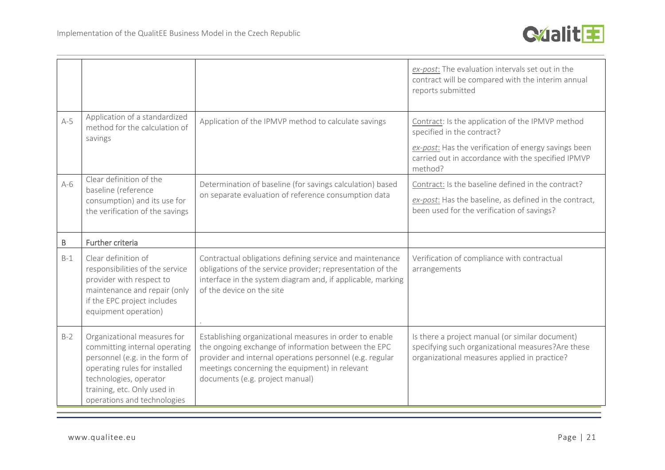

|       |                                                                                                                   |                                                                                                                        | ex-post: The evaluation intervals set out in the<br>contract will be compared with the interim annual<br>reports submitted                                                                              |
|-------|-------------------------------------------------------------------------------------------------------------------|------------------------------------------------------------------------------------------------------------------------|---------------------------------------------------------------------------------------------------------------------------------------------------------------------------------------------------------|
| $A-5$ | Application of a standardized<br>method for the calculation of<br>savings                                         | Application of the IPMVP method to calculate savings                                                                   | Contract: Is the application of the IPMVP method<br>specified in the contract?<br>ex-post: Has the verification of energy savings been<br>carried out in accordance with the specified IPMVP<br>method? |
| $A-6$ | Clear definition of the<br>baseline (reference<br>consumption) and its use for<br>the verification of the savings | Determination of baseline (for savings calculation) based<br>on separate evaluation of reference consumption data      | Contract: Is the baseline defined in the contract?<br>ex-post: Has the baseline, as defined in the contract,<br>been used for the verification of savings?                                              |
| B     | Further criteria                                                                                                  |                                                                                                                        |                                                                                                                                                                                                         |
| $B-1$ | Clear definition of<br>responsibilities of the service                                                            | Contractual obligations defining service and maintenance<br>obligations of the service provider; representation of the | Verification of compliance with contractual<br>arrangements                                                                                                                                             |
|       | provider with respect to<br>maintenance and repair (only<br>if the EPC project includes<br>equipment operation)   | interface in the system diagram and, if applicable, marking<br>of the device on the site                               |                                                                                                                                                                                                         |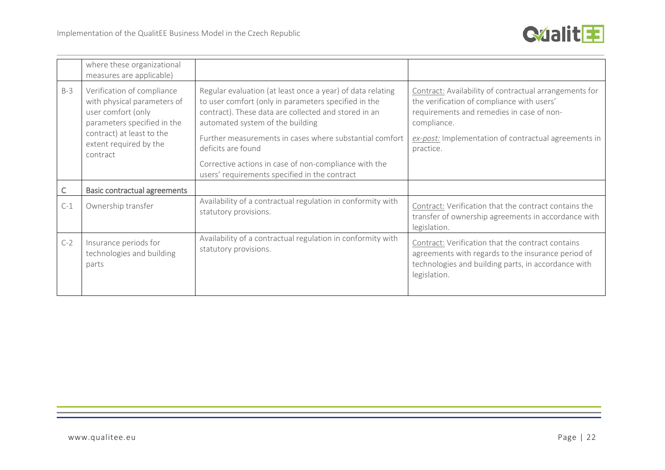

|       | where these organizational<br>measures are applicable)                                                                                                                            |                                                                                                                                                                                                                                                                                                                                                          |                                                                                                                                                                                                                                       |
|-------|-----------------------------------------------------------------------------------------------------------------------------------------------------------------------------------|----------------------------------------------------------------------------------------------------------------------------------------------------------------------------------------------------------------------------------------------------------------------------------------------------------------------------------------------------------|---------------------------------------------------------------------------------------------------------------------------------------------------------------------------------------------------------------------------------------|
| $B-3$ | Verification of compliance<br>with physical parameters of<br>user comfort (only<br>parameters specified in the<br>contract) at least to the<br>extent required by the<br>contract | Regular evaluation (at least once a year) of data relating<br>to user comfort (only in parameters specified in the<br>contract). These data are collected and stored in an<br>automated system of the building<br>Further measurements in cases where substantial comfort<br>deficits are found<br>Corrective actions in case of non-compliance with the | Contract: Availability of contractual arrangements for<br>the verification of compliance with users'<br>requirements and remedies in case of non-<br>compliance.<br>ex-post: Implementation of contractual agreements in<br>practice. |
|       |                                                                                                                                                                                   | users' requirements specified in the contract                                                                                                                                                                                                                                                                                                            |                                                                                                                                                                                                                                       |
| C     | <b>Basic contractual agreements</b>                                                                                                                                               |                                                                                                                                                                                                                                                                                                                                                          |                                                                                                                                                                                                                                       |
| $C-1$ | Ownership transfer                                                                                                                                                                | Availability of a contractual regulation in conformity with<br>statutory provisions.                                                                                                                                                                                                                                                                     | Contract: Verification that the contract contains the<br>transfer of ownership agreements in accordance with<br>legislation.                                                                                                          |
| $C-2$ | Insurance periods for<br>technologies and building<br>parts                                                                                                                       | Availability of a contractual regulation in conformity with<br>statutory provisions.                                                                                                                                                                                                                                                                     | Contract: Verification that the contract contains<br>agreements with regards to the insurance period of<br>technologies and building parts, in accordance with<br>legislation.                                                        |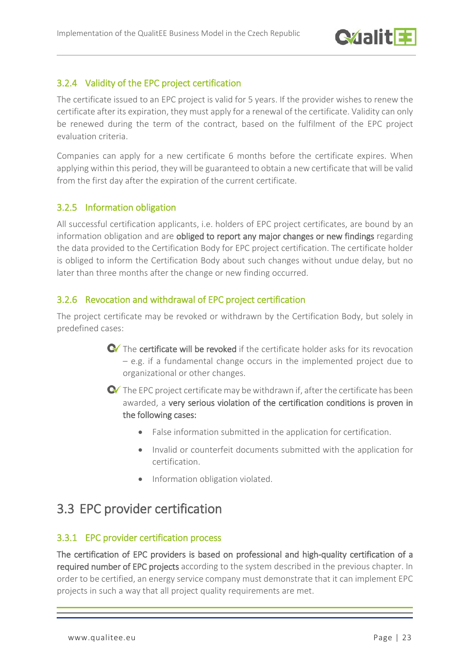

### <span id="page-22-0"></span>3.2.4 Validity of the EPC project certification

The certificate issued to an EPC project is valid for 5 years. If the provider wishes to renew the certificate after its expiration, they must apply for a renewal of the certificate. Validity can only be renewed during the term of the contract, based on the fulfilment of the EPC project evaluation criteria.

Companies can apply for a new certificate 6 months before the certificate expires. When applying within this period, they will be guaranteed to obtain a new certificate that will be valid from the first day after the expiration of the current certificate.

### <span id="page-22-1"></span>3.2.5 Information obligation

All successful certification applicants, i.e. holders of EPC project certificates, are bound by an information obligation and are obliged to report any major changes or new findings regarding the data provided to the Certification Body for EPC project certification. The certificate holder is obliged to inform the Certification Body about such changes without undue delay, but no later than three months after the change or new finding occurred.

### <span id="page-22-2"></span>3.2.6 Revocation and withdrawal of EPC project certification

The project certificate may be revoked or withdrawn by the Certification Body, but solely in predefined cases:

> $\bullet$  The certificate will be revoked if the certificate holder asks for its revocation – e.g. if a fundamental change occurs in the implemented project due to organizational or other changes.

> $\bullet$  The EPC project certificate may be withdrawn if, after the certificate has been awarded, a very serious violation of the certification conditions is proven in the following cases:

- False information submitted in the application for certification.
- Invalid or counterfeit documents submitted with the application for certification.
- Information obligation violated.

## <span id="page-22-3"></span>3.3 EPC provider certification

### <span id="page-22-4"></span>3.3.1 EPC provider certification process

The certification of EPC providers is based on professional and high-quality certification of a required number of EPC projects according to the system described in the previous chapter. In order to be certified, an energy service company must demonstrate that it can implement EPC projects in such a way that all project quality requirements are met.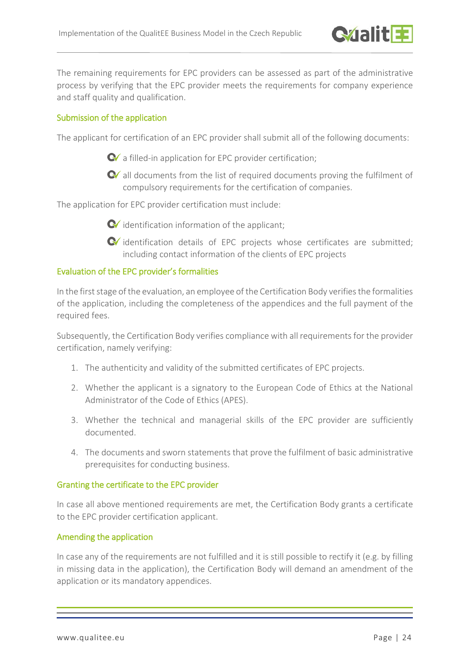

The remaining requirements for EPC providers can be assessed as part of the administrative process by verifying that the EPC provider meets the requirements for company experience and staff quality and qualification.

#### Submission of the application

The applicant for certification of an EPC provider shall submit all of the following documents:

 $\bullet$  a filled-in application for EPC provider certification;

**C** all documents from the list of required documents proving the fulfilment of compulsory requirements for the certification of companies.

The application for EPC provider certification must include:

- $\bullet$  identification information of the applicant;
- identification details of EPC projects whose certificates are submitted; including contact information of the clients of EPC projects

#### Evaluation of the EPC provider's formalities

In the first stage of the evaluation, an employee of the Certification Body verifies the formalities of the application, including the completeness of the appendices and the full payment of the required fees.

Subsequently, the Certification Body verifies compliance with all requirements for the provider certification, namely verifying:

- 1. The authenticity and validity of the submitted certificates of EPC projects.
- 2. Whether the applicant is a signatory to the European Code of Ethics at the National Administrator of the Code of Ethics (APES).
- 3. Whether the technical and managerial skills of the EPC provider are sufficiently documented.
- 4. The documents and sworn statements that prove the fulfilment of basic administrative prerequisites for conducting business.

#### Granting the certificate to the EPC provider

In case all above mentioned requirements are met, the Certification Body grants a certificate to the EPC provider certification applicant.

#### Amending the application

In case any of the requirements are not fulfilled and it is still possible to rectify it (e.g. by filling in missing data in the application), the Certification Body will demand an amendment of the application or its mandatory appendices.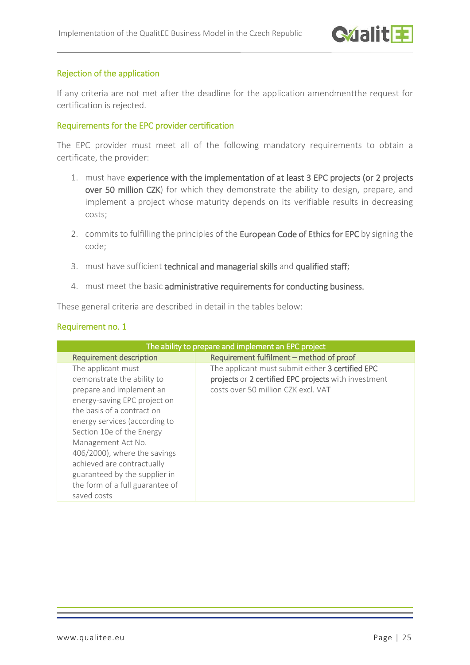#### Rejection of the application

If any criteria are not met after the deadline for the application amendmentthe request for certification is rejected.

#### Requirements for the EPC provider certification

The EPC provider must meet all of the following mandatory requirements to obtain a certificate, the provider:

- 1. must have experience with the implementation of at least 3 EPC projects (or 2 projects over 50 million CZK) for which they demonstrate the ability to design, prepare, and implement a project whose maturity depends on its verifiable results in decreasing costs;
- 2. commits to fulfilling the principles of the European Code of Ethics for EPC by signing the code;
- 3. must have sufficient technical and managerial skills and qualified staff;
- 4. must meet the basic administrative requirements for conducting business.

These general criteria are described in detail in the tables below:

#### Requirement no. 1

| The ability to prepare and implement an EPC project                                                                                                                                                                                                                                                                                                                             |                                                                                                                                                 |  |
|---------------------------------------------------------------------------------------------------------------------------------------------------------------------------------------------------------------------------------------------------------------------------------------------------------------------------------------------------------------------------------|-------------------------------------------------------------------------------------------------------------------------------------------------|--|
| <b>Requirement description</b>                                                                                                                                                                                                                                                                                                                                                  | Requirement fulfilment - method of proof                                                                                                        |  |
| The applicant must<br>demonstrate the ability to<br>prepare and implement an<br>energy-saving EPC project on<br>the basis of a contract on<br>energy services (according to<br>Section 10e of the Energy<br>Management Act No.<br>406/2000), where the savings<br>achieved are contractually<br>guaranteed by the supplier in<br>the form of a full guarantee of<br>saved costs | The applicant must submit either 3 certified EPC<br>projects or 2 certified EPC projects with investment<br>costs over 50 million CZK excl. VAT |  |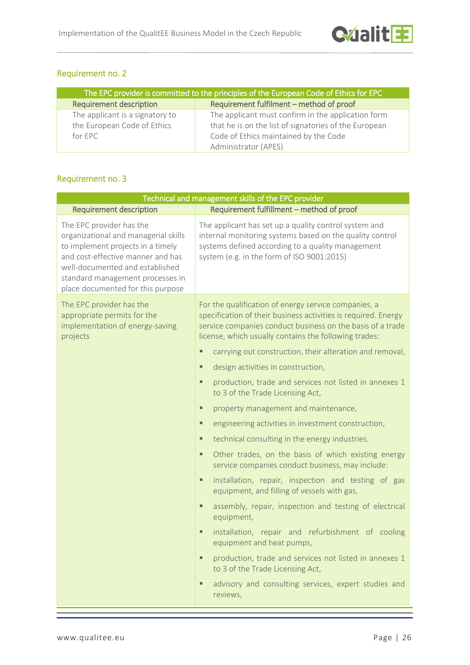### Requirement no. 2

| The EPC provider is committed to the principles of the European Code of Ethics for EPC |                                                       |  |
|----------------------------------------------------------------------------------------|-------------------------------------------------------|--|
| <b>Requirement description</b>                                                         | Requirement fulfilment – method of proof              |  |
| The applicant is a signatory to                                                        | The applicant must confirm in the application form    |  |
| the European Code of Ethics                                                            | that he is on the list of signatories of the European |  |
| for $FPC$                                                                              | Code of Ethics maintained by the Code                 |  |
|                                                                                        | Administrator (APES)                                  |  |

### Requirement no. 3

| Technical and management skills of the EPC provider                                                                                                                                                                                                    |                                                                                                                                                                                                                                               |  |  |
|--------------------------------------------------------------------------------------------------------------------------------------------------------------------------------------------------------------------------------------------------------|-----------------------------------------------------------------------------------------------------------------------------------------------------------------------------------------------------------------------------------------------|--|--|
| <b>Requirement description</b>                                                                                                                                                                                                                         | Requirement fulfillment - method of proof                                                                                                                                                                                                     |  |  |
| The EPC provider has the<br>organizational and managerial skills<br>to implement projects in a timely<br>and cost-effective manner and has<br>well-documented and established<br>standard management processes in<br>place documented for this purpose | The applicant has set up a quality control system and<br>internal monitoring systems based on the quality control<br>systems defined according to a quality management<br>system (e.g. in the form of ISO 9001:2015)                          |  |  |
| The EPC provider has the<br>appropriate permits for the<br>implementation of energy-saving<br>projects                                                                                                                                                 | For the qualification of energy service companies, a<br>specification of their business activities is required. Energy<br>service companies conduct business on the basis of a trade<br>license, which usually contains the following trades: |  |  |
|                                                                                                                                                                                                                                                        | carrying out construction, their alteration and removal,<br>٠                                                                                                                                                                                 |  |  |
|                                                                                                                                                                                                                                                        | design activities in construction,<br>ш                                                                                                                                                                                                       |  |  |
|                                                                                                                                                                                                                                                        | production, trade and services not listed in annexes 1<br>ш<br>to 3 of the Trade Licensing Act,                                                                                                                                               |  |  |
|                                                                                                                                                                                                                                                        | property management and maintenance,<br>$\blacksquare$                                                                                                                                                                                        |  |  |
|                                                                                                                                                                                                                                                        | engineering activities in investment construction,<br>ш                                                                                                                                                                                       |  |  |
|                                                                                                                                                                                                                                                        | technical consulting in the energy industries.<br>$\blacksquare$                                                                                                                                                                              |  |  |
|                                                                                                                                                                                                                                                        | Other trades, on the basis of which existing energy<br>ш<br>service companies conduct business, may include:                                                                                                                                  |  |  |
|                                                                                                                                                                                                                                                        | installation, repair, inspection and testing of gas<br>٠<br>equipment, and filling of vessels with gas,                                                                                                                                       |  |  |
|                                                                                                                                                                                                                                                        | assembly, repair, inspection and testing of electrical<br>$\blacksquare$<br>equipment,                                                                                                                                                        |  |  |
|                                                                                                                                                                                                                                                        | installation, repair and refurbishment of cooling<br>٠<br>equipment and heat pumps,                                                                                                                                                           |  |  |
|                                                                                                                                                                                                                                                        | production, trade and services not listed in annexes 1<br>ш<br>to 3 of the Trade Licensing Act,                                                                                                                                               |  |  |
|                                                                                                                                                                                                                                                        | advisory and consulting services, expert studies and<br>٠<br>reviews,                                                                                                                                                                         |  |  |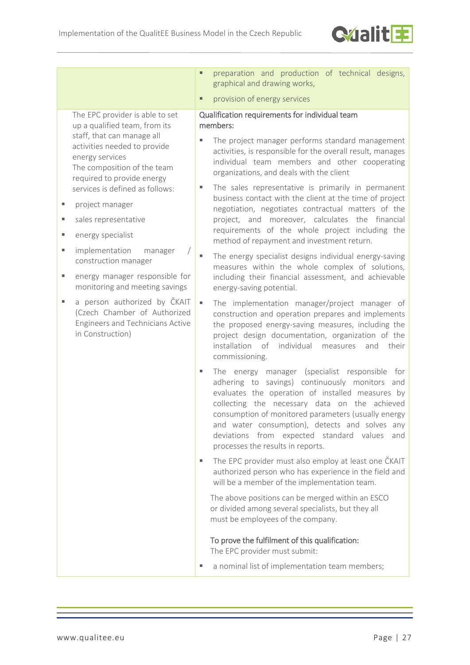

The EPC provider is able to set up a qualified team, from its staff, that can manage all activities needed to provide energy services The composition of the team required to provide energy services is defined as follows:

- project manager
- sales representative
- energy specialist
- **Indementation manager** construction manager
- **energy manager responsible for** monitoring and meeting savings
- **a** person authorized by ČKAIT (Czech Chamber of Authorized Engineers and Technicians Active in Construction)
- preparation and production of technical designs, graphical and drawing works,
- provision of energy services

#### Qualification requirements for individual team members:

- The project manager performs standard management activities, is responsible for the overall result, manages individual team members and other cooperating organizations, and deals with the client
- The sales representative is primarily in permanent business contact with the client at the time of project negotiation, negotiates contractual matters of the project, and moreover, calculates the financial requirements of the whole project including the method of repayment and investment return.
- The energy specialist designs individual energy-saving measures within the whole complex of solutions, including their financial assessment, and achievable energy-saving potential.
- The implementation manager/project manager of construction and operation prepares and implements the proposed energy-saving measures, including the project design documentation, organization of the installation of individual measures and their commissioning.
- The energy manager (specialist responsible for adhering to savings) continuously monitors and evaluates the operation of installed measures by collecting the necessary data on the achieved consumption of monitored parameters (usually energy and water consumption), detects and solves any deviations from expected standard values and processes the results in reports.
- The EPC provider must also employ at least one ČKAIT authorized person who has experience in the field and will be a member of the implementation team.

The above positions can be merged within an ESCO or divided among several specialists, but they all must be employees of the company.

#### To prove the fulfilment of this qualification: The EPC provider must submit:

a nominal list of implementation team members;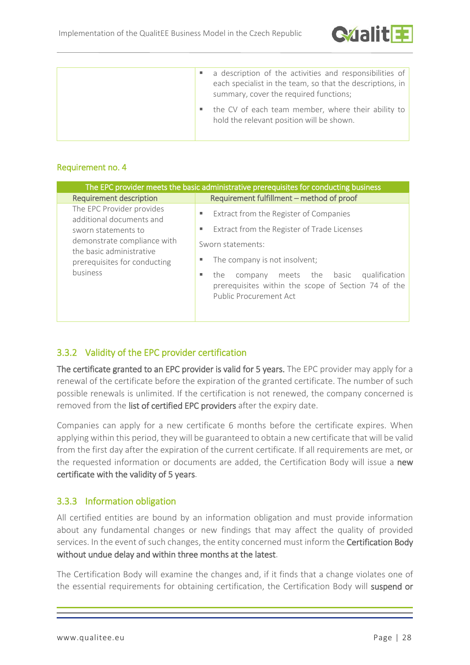

|  | a description of the activities and responsibilities of<br>each specialist in the team, so that the descriptions, in<br>summary, cover the required functions; |
|--|----------------------------------------------------------------------------------------------------------------------------------------------------------------|
|  | the CV of each team member, where their ability to<br>hold the relevant position will be shown.                                                                |

#### Requirement no. 4

| The EPC provider meets the basic administrative prerequisites for conducting business                                                                                               |                                                                                                                                  |  |  |
|-------------------------------------------------------------------------------------------------------------------------------------------------------------------------------------|----------------------------------------------------------------------------------------------------------------------------------|--|--|
| <b>Requirement description</b>                                                                                                                                                      | Requirement fulfillment - method of proof                                                                                        |  |  |
| The EPC Provider provides<br>additional documents and<br>sworn statements to<br>demonstrate compliance with<br>the basic administrative<br>prerequisites for conducting<br>business | Extract from the Register of Companies<br>٠<br>Extract from the Register of Trade Licenses<br>٠                                  |  |  |
|                                                                                                                                                                                     | Sworn statements:<br>The company is not insolvent;                                                                               |  |  |
|                                                                                                                                                                                     | company meets the basic<br>qualification<br>the<br>prerequisites within the scope of Section 74 of the<br>Public Procurement Act |  |  |

## <span id="page-27-0"></span>3.3.2 Validity of the EPC provider certification

The certificate granted to an EPC provider is valid for 5 years. The EPC provider may apply for a renewal of the certificate before the expiration of the granted certificate. The number of such possible renewals is unlimited. If the certification is not renewed, the company concerned is removed from the list of certified EPC providers after the expiry date.

Companies can apply for a new certificate 6 months before the certificate expires. When applying within this period, they will be guaranteed to obtain a new certificate that will be valid from the first day after the expiration of the current certificate. If all requirements are met, or the requested information or documents are added, the Certification Body will issue a new certificate with the validity of 5 years.

### <span id="page-27-1"></span>3.3.3 Information obligation

All certified entities are bound by an information obligation and must provide information about any fundamental changes or new findings that may affect the quality of provided services. In the event of such changes, the entity concerned must inform the Certification Body without undue delay and within three months at the latest.

The Certification Body will examine the changes and, if it finds that a change violates one of the essential requirements for obtaining certification, the Certification Body will suspend or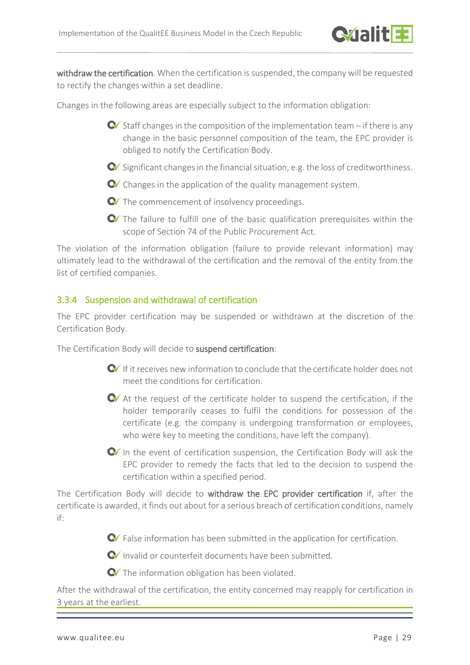

withdraw the certification. When the certification is suspended, the company will be requested to rectify the changes within a set deadline.

Changes in the following areas are especially subject to the information obligation:

- $\bullet$  Staff changes in the composition of the implementation team if there is any change in the basic personnel composition of the team, the EPC provider is obliged to notify the Certification Body.
- $\bullet$  Significant changes in the financial situation, e.g. the loss of creditworthiness.
- $\bullet$  Changes in the application of the quality management system.
- The commencement of insolvency proceedings.
- The failure to fulfill one of the basic qualification prerequisites within the scope of Section 74 of the Public Procurement Act.

The violation of the information obligation (failure to provide relevant information) may ultimately lead to the withdrawal of the certification and the removal of the entity from the list of certified companies.

### <span id="page-28-0"></span>3.3.4 Suspension and withdrawal of certification

The EPC provider certification may be suspended or withdrawn at the discretion of the Certification Body.

The Certification Body will decide to suspend certification:

- $\bullet$  If it receives new information to conclude that the certificate holder does not meet the conditions for certification.
- At the request of the certificate holder to suspend the certification, if the holder temporarily ceases to fulfil the conditions for possession of the certificate (e.g. the company is undergoing transformation or employees, who were key to meeting the conditions, have left the company).
- $\bullet$  In the event of certification suspension, the Certification Body will ask the EPC provider to remedy the facts that led to the decision to suspend the certification within a specified period.

The Certification Body will decide to withdraw the EPC provider certification if, after the certificate is awarded, it finds out about for a serious breach of certification conditions, namely if:

G False information has been submitted in the application for certification.

**Invalid or counterfeit documents have been submitted.** 

**C** The information obligation has been violated.

After the withdrawal of the certification, the entity concerned may reapply for certification in 3 years at the earliest.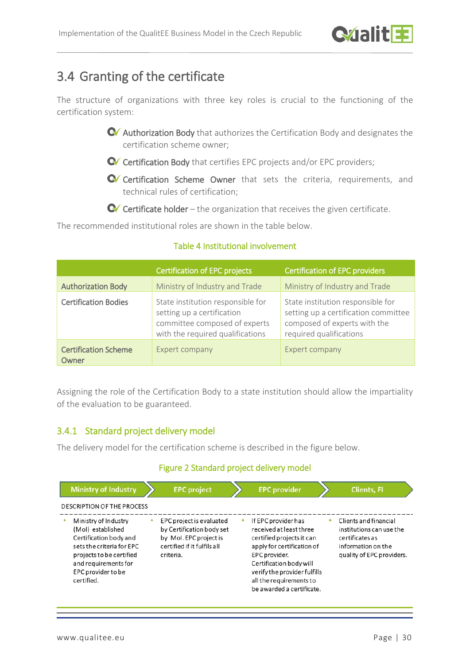

# <span id="page-29-0"></span>3.4 Granting of the certificate

The structure of organizations with three key roles is crucial to the functioning of the certification system:

- Authorization Body that authorizes the Certification Body and designates the certification scheme owner;
- Cortification Body that certifies EPC projects and/or EPC providers;
- Certification Scheme Owner that sets the criteria, requirements, and technical rules of certification;

 $\bullet$  Certificate holder – the organization that receives the given certificate.

The recommended institutional roles are shown in the table below.

|                                      | <b>Certification of EPC projects</b>                                                                                                 | <b>Certification of EPC providers</b>                                                                                                |
|--------------------------------------|--------------------------------------------------------------------------------------------------------------------------------------|--------------------------------------------------------------------------------------------------------------------------------------|
| <b>Authorization Body</b>            | Ministry of Industry and Trade                                                                                                       | Ministry of Industry and Trade                                                                                                       |
| <b>Certification Bodies</b>          | State institution responsible for<br>setting up a certification<br>committee composed of experts<br>with the required qualifications | State institution responsible for<br>setting up a certification committee<br>composed of experts with the<br>required qualifications |
| <b>Certification Scheme</b><br>Owner | Expert company                                                                                                                       | Expert company                                                                                                                       |

#### Table 4 Institutional involvement

Assigning the role of the Certification Body to a state institution should allow the impartiality of the evaluation to be guaranteed.

### <span id="page-29-1"></span>3.4.1 Standard project delivery model

The delivery model for the certification scheme is described in the figure below.

#### Figure 2 Standard project delivery model

| <b>Ministry of Industry</b>                                                                                                                                                              | <b>EPC</b> project                                                                                                          | <b>EPC</b> provider                                                                                                                                                                                                                           | <b>Clients, FI</b>                                                                                                      |
|------------------------------------------------------------------------------------------------------------------------------------------------------------------------------------------|-----------------------------------------------------------------------------------------------------------------------------|-----------------------------------------------------------------------------------------------------------------------------------------------------------------------------------------------------------------------------------------------|-------------------------------------------------------------------------------------------------------------------------|
| <b>DESCRIPTION OF THE PROCESS</b>                                                                                                                                                        |                                                                                                                             |                                                                                                                                                                                                                                               |                                                                                                                         |
| Ministry of Industry<br>(Mol) established<br>Certification body and<br>sets the criteria for EPC<br>projects to be certified<br>and requirements for<br>EPC provider to be<br>certified. | EPC project is evaluated<br>by Certification body set<br>by Mol. EPC project is<br>certified if it fulfils all<br>criteria. | If EPC provider has<br>received at least three<br>certified projects it can<br>apply for certification of<br>EPC provider.<br>Certification body will<br>verify the provider fulfills<br>all the requirements to<br>be awarded a certificate. | Clients and financial<br>institutions can use the<br>certificates as<br>information on the<br>quality of EPC providers. |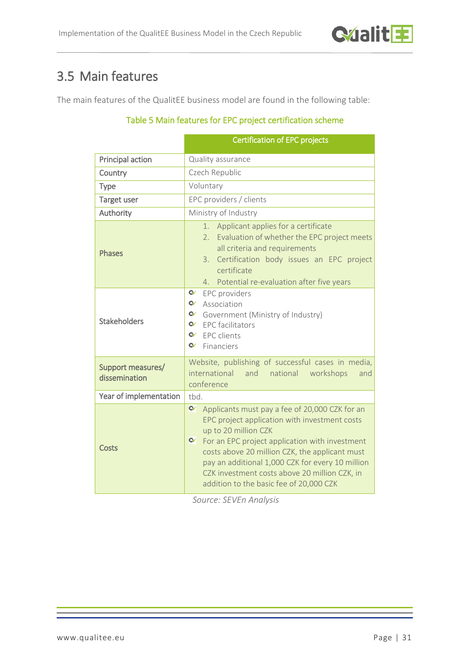# <span id="page-30-0"></span>3.5 Main features

The main features of the QualitEE business model are found in the following table:

### Table 5 Main features for EPC project certification scheme

|                                    | <b>Certification of EPC projects</b>                                                                                                                                                                                                                                                                                                                                                                |  |  |
|------------------------------------|-----------------------------------------------------------------------------------------------------------------------------------------------------------------------------------------------------------------------------------------------------------------------------------------------------------------------------------------------------------------------------------------------------|--|--|
| Principal action                   | Quality assurance                                                                                                                                                                                                                                                                                                                                                                                   |  |  |
| Country                            | Czech Republic                                                                                                                                                                                                                                                                                                                                                                                      |  |  |
| Type                               | Voluntary                                                                                                                                                                                                                                                                                                                                                                                           |  |  |
| <b>Target user</b>                 | EPC providers / clients                                                                                                                                                                                                                                                                                                                                                                             |  |  |
| Authority                          | Ministry of Industry                                                                                                                                                                                                                                                                                                                                                                                |  |  |
| <b>Phases</b>                      | Applicant applies for a certificate<br>1.<br>2. Evaluation of whether the EPC project meets<br>all criteria and requirements<br>Certification body issues an EPC project<br>3.<br>certificate<br>4.<br>Potential re-evaluation after five years                                                                                                                                                     |  |  |
| <b>Stakeholders</b>                | $\alpha$<br>EPC providers<br>$\alpha$<br>Association<br>Government (Ministry of Industry)<br>$\bullet$ EPC facilitators<br>$\mathbf{C}$<br><b>EPC</b> clients<br>$\mathbf{C}$<br>Financiers                                                                                                                                                                                                         |  |  |
| Support measures/<br>dissemination | Website, publishing of successful cases in media,<br>international and<br>national workshops<br>and<br>conference                                                                                                                                                                                                                                                                                   |  |  |
| Year of implementation             | tbd.                                                                                                                                                                                                                                                                                                                                                                                                |  |  |
| Costs                              | $\alpha$<br>Applicants must pay a fee of 20,000 CZK for an<br>EPC project application with investment costs<br>up to 20 million CZK<br>$\alpha$<br>For an EPC project application with investment<br>costs above 20 million CZK, the applicant must<br>pay an additional 1,000 CZK for every 10 million<br>CZK investment costs above 20 million CZK, in<br>addition to the basic fee of 20,000 CZK |  |  |

*Source: SEVEn Analysis*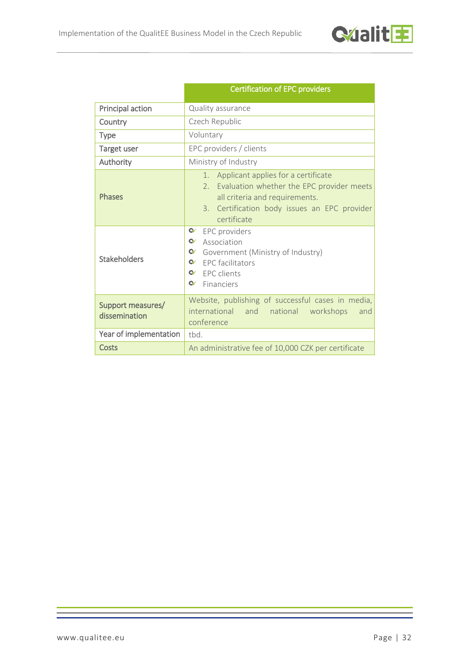

|                                    | <b>Certification of EPC providers</b>                                                                                                                                                             |  |
|------------------------------------|---------------------------------------------------------------------------------------------------------------------------------------------------------------------------------------------------|--|
| Principal action                   | Quality assurance                                                                                                                                                                                 |  |
| Country                            | Czech Republic                                                                                                                                                                                    |  |
| <b>Type</b>                        | Voluntary                                                                                                                                                                                         |  |
| Target user                        | EPC providers / clients                                                                                                                                                                           |  |
| Authority                          | Ministry of Industry                                                                                                                                                                              |  |
| <b>Phases</b>                      | Applicant applies for a certificate<br>1.<br>Evaluation whether the EPC provider meets<br>2.<br>all criteria and requirements.<br>3. Certification body issues an EPC provider<br>certificate     |  |
| <b>Stakeholders</b>                | $\alpha$<br>EPC providers<br>$\alpha$<br>Association<br>$\alpha$<br>Government (Ministry of Industry)<br>$\alpha$<br><b>EPC</b> facilitators<br>$\alpha$<br>FPC clients<br>$\alpha$<br>Financiers |  |
| Support measures/<br>dissemination | Website, publishing of successful cases in media,<br>international and national workshops<br>and<br>conference                                                                                    |  |
| Year of implementation             | tbd.                                                                                                                                                                                              |  |
| <b>Costs</b>                       | An administrative fee of 10,000 CZK per certificate                                                                                                                                               |  |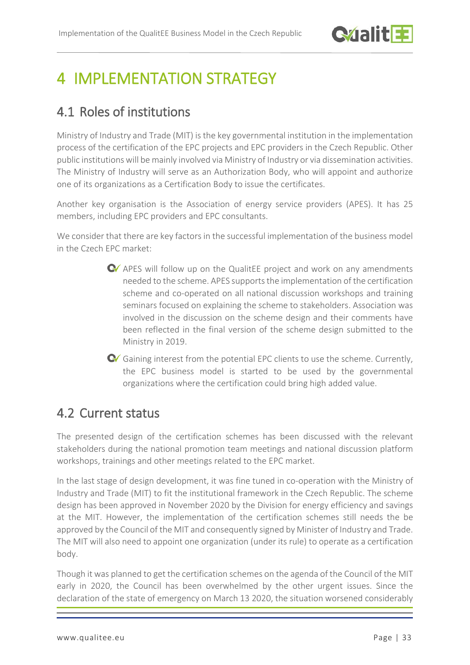# <span id="page-32-0"></span>4 IMPI FMENTATION STRATEGY

# <span id="page-32-1"></span>4.1 Roles of institutions

Ministry of Industry and Trade (MIT) is the key governmental institution in the implementation process of the certification of the EPC projects and EPC providers in the Czech Republic. Other public institutions will be mainly involved via Ministry of Industry or via dissemination activities. The Ministry of Industry will serve as an Authorization Body, who will appoint and authorize one of its organizations as a Certification Body to issue the certificates.

Another key organisation is the Association of energy service providers (APES). It has 25 members, including EPC providers and EPC consultants.

We consider that there are key factors in the successful implementation of the business model in the Czech EPC market:

- APES will follow up on the QualitEE project and work on any amendments needed to the scheme. APES supports the implementation of the certification scheme and co-operated on all national discussion workshops and training seminars focused on explaining the scheme to stakeholders. Association was involved in the discussion on the scheme design and their comments have been reflected in the final version of the scheme design submitted to the Ministry in 2019.
- G Gaining interest from the potential EPC clients to use the scheme. Currently, the EPC business model is started to be used by the governmental organizations where the certification could bring high added value.

# <span id="page-32-2"></span>4.2 Current status

The presented design of the certification schemes has been discussed with the relevant stakeholders during the national promotion team meetings and national discussion platform workshops, trainings and other meetings related to the EPC market.

In the last stage of design development, it was fine tuned in co-operation with the Ministry of Industry and Trade (MIT) to fit the institutional framework in the Czech Republic. The scheme design has been approved in November 2020 by the Division for energy efficiency and savings at the MIT. However, the implementation of the certification schemes still needs the be approved by the Council of the MIT and consequently signed by Minister of Industry and Trade. The MIT will also need to appoint one organization (under its rule) to operate as a certification body.

Though it was planned to get the certification schemes on the agenda of the Council of the MIT early in 2020, the Council has been overwhelmed by the other urgent issues. Since the declaration of the state of emergency on March 13 2020, the situation worsened considerably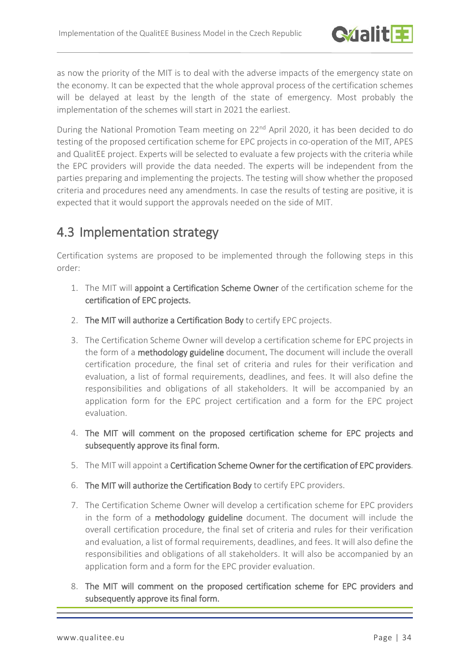

as now the priority of the MIT is to deal with the adverse impacts of the emergency state on the economy. It can be expected that the whole approval process of the certification schemes will be delayed at least by the length of the state of emergency. Most probably the implementation of the schemes will start in 2021 the earliest.

During the National Promotion Team meeting on 22<sup>nd</sup> April 2020, it has been decided to do testing of the proposed certification scheme for EPC projects in co-operation of the MIT, APES and QualitEE project. Experts will be selected to evaluate a few projects with the criteria while the EPC providers will provide the data needed. The experts will be independent from the parties preparing and implementing the projects. The testing will show whether the proposed criteria and procedures need any amendments. In case the results of testing are positive, it is expected that it would support the approvals needed on the side of MIT.

# <span id="page-33-0"></span>4.3 Implementation strategy

Certification systems are proposed to be implemented through the following steps in this order:

- 1. The MIT will appoint a Certification Scheme Owner of the certification scheme for the certification of EPC projects.
- 2. The MIT will authorize a Certification Body to certify EPC projects.
- 3. The Certification Scheme Owner will develop a certification scheme for EPC projects in the form of a methodology guideline document. The document will include the overall certification procedure, the final set of criteria and rules for their verification and evaluation, a list of formal requirements, deadlines, and fees. It will also define the responsibilities and obligations of all stakeholders. It will be accompanied by an application form for the EPC project certification and a form for the EPC project evaluation.
- 4. The MIT will comment on the proposed certification scheme for EPC projects and subsequently approve its final form.
- 5. The MIT will appoint a Certification Scheme Owner for the certification of EPC providers.
- 6. The MIT will authorize the Certification Body to certify EPC providers.
- 7. The Certification Scheme Owner will develop a certification scheme for EPC providers in the form of a methodology guideline document. The document will include the overall certification procedure, the final set of criteria and rules for their verification and evaluation, a list of formal requirements, deadlines, and fees. It will also define the responsibilities and obligations of all stakeholders. It will also be accompanied by an application form and a form for the EPC provider evaluation.
- 8. The MIT will comment on the proposed certification scheme for EPC providers and subsequently approve its final form.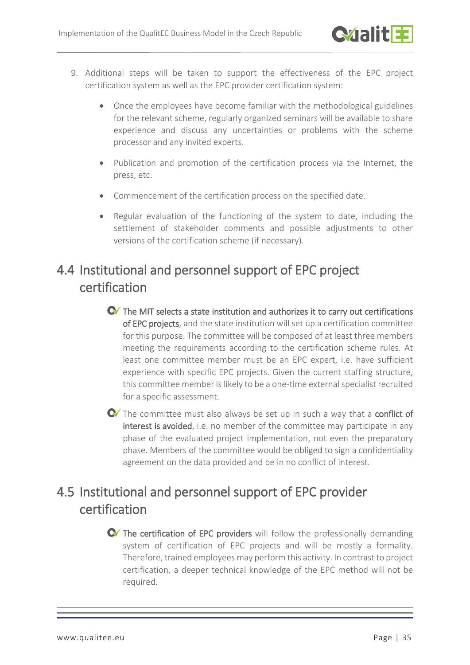- 9. Additional steps will be taken to support the effectiveness of the EPC project certification system as well as the EPC provider certification system:
	- Once the employees have become familiar with the methodological guidelines for the relevant scheme, regularly organized seminars will be available to share experience and discuss any uncertainties or problems with the scheme processor and any invited experts.
	- Publication and promotion of the certification process via the Internet, the press, etc.
	- Commencement of the certification process on the specified date.
	- Regular evaluation of the functioning of the system to date, including the settlement of stakeholder comments and possible adjustments to other versions of the certification scheme (if necessary).

# <span id="page-34-0"></span>4.4 Institutional and personnel support of EPC project certification

- **C** $\bullet$  The MIT selects a state institution and authorizes it to carry out certifications of EPC projects, and the state institution will set up a certification committee for this purpose. The committee will be composed of at least three members meeting the requirements according to the certification scheme rules. At least one committee member must be an EPC expert, i.e. have sufficient experience with specific EPC projects. Given the current staffing structure, this committee member is likely to be a one-time external specialist recruited for a specific assessment.
- The committee must also always be set up in such a way that a **conflict of** interest is avoided, i.e. no member of the committee may participate in any phase of the evaluated project implementation, not even the preparatory phase. Members of the committee would be obliged to sign a confidentiality agreement on the data provided and be in no conflict of interest.

# <span id="page-34-1"></span>4.5 Institutional and personnel support of EPC provider certification

**C** The certification of EPC providers will follow the professionally demanding system of certification of EPC projects and will be mostly a formality. Therefore, trained employees may perform this activity. In contrast to project certification, a deeper technical knowledge of the EPC method will not be required.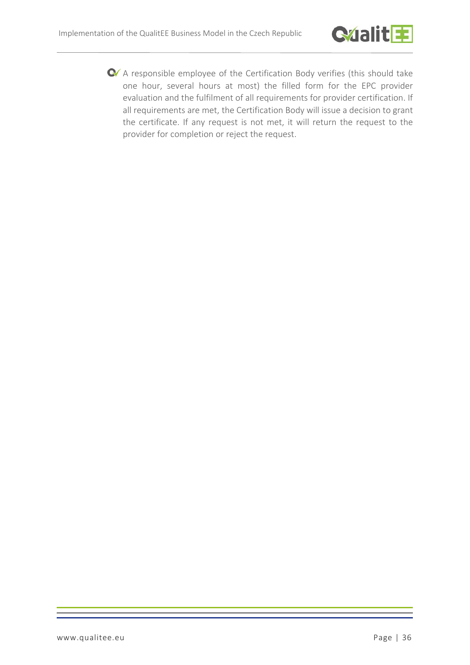

A responsible employee of the Certification Body verifies (this should take one hour, several hours at most) the filled form for the EPC provider evaluation and the fulfilment of all requirements for provider certification. If all requirements are met, the Certification Body will issue a decision to grant the certificate. If any request is not met, it will return the request to the provider for completion or reject the request.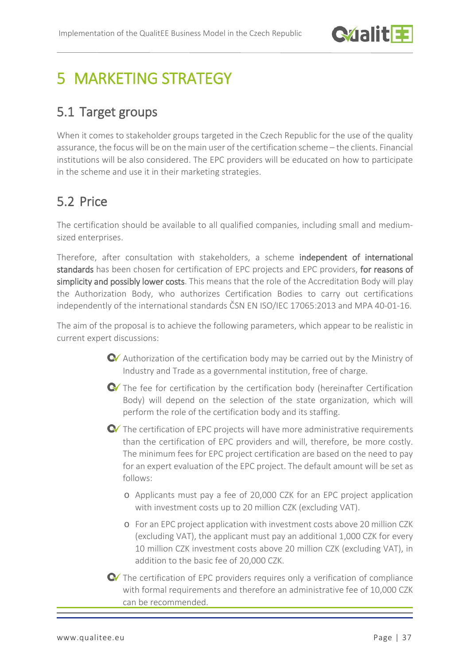

# <span id="page-36-0"></span>5 MARKETING STRATEGY

# <span id="page-36-1"></span>5.1 Target groups

When it comes to stakeholder groups targeted in the Czech Republic for the use of the quality assurance, the focus will be on the main user of the certification scheme – the clients. Financial institutions will be also considered. The EPC providers will be educated on how to participate in the scheme and use it in their marketing strategies.

# <span id="page-36-2"></span>5.2 Price

The certification should be available to all qualified companies, including small and mediumsized enterprises.

Therefore, after consultation with stakeholders, a scheme independent of international standards has been chosen for certification of EPC projects and EPC providers, for reasons of simplicity and possibly lower costs. This means that the role of the Accreditation Body will play the Authorization Body, who authorizes Certification Bodies to carry out certifications independently of the international standards ČSN EN ISO/IEC 17065:2013 and MPA 40-01-16.

The aim of the proposal is to achieve the following parameters, which appear to be realistic in current expert discussions:

- Authorization of the certification body may be carried out by the Ministry of Industry and Trade as a governmental institution, free of charge.
- The fee for certification by the certification body (hereinafter Certification Body) will depend on the selection of the state organization, which will perform the role of the certification body and its staffing.
- The certification of EPC projects will have more administrative requirements than the certification of EPC providers and will, therefore, be more costly. The minimum fees for EPC project certification are based on the need to pay for an expert evaluation of the EPC project. The default amount will be set as follows:
	- o Applicants must pay a fee of 20,000 CZK for an EPC project application with investment costs up to 20 million CZK (excluding VAT).
	- o For an EPC project application with investment costs above 20 million CZK (excluding VAT), the applicant must pay an additional 1,000 CZK for every 10 million CZK investment costs above 20 million CZK (excluding VAT), in addition to the basic fee of 20,000 CZK.

The certification of EPC providers requires only a verification of compliance with formal requirements and therefore an administrative fee of 10,000 CZK can be recommended.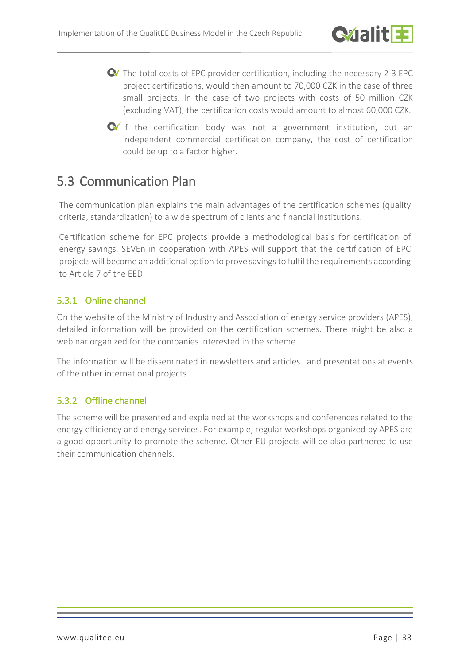

- The total costs of EPC provider certification, including the necessary 2-3 EPC project certifications, would then amount to 70,000 CZK in the case of three small projects. In the case of two projects with costs of 50 million CZK (excluding VAT), the certification costs would amount to almost 60,000 CZK.
- $\bullet$  If the certification body was not a government institution, but an independent commercial certification company, the cost of certification could be up to a factor higher.

## <span id="page-37-0"></span>5.3 Communication Plan

The communication plan explains the main advantages of the certification schemes (quality criteria, standardization) to a wide spectrum of clients and financial institutions.

Certification scheme for EPC projects provide a methodological basis for certification of energy savings. SEVEn in cooperation with APES will support that the certification of EPC projects will become an additional option to prove savingsto fulfil the requirements according to Article 7 of the EED.

### <span id="page-37-1"></span>5.3.1 Online channel

On the website of the Ministry of Industry and Association of energy service providers (APES), detailed information will be provided on the certification schemes. There might be also a webinar organized for the companies interested in the scheme.

The information will be disseminated in newsletters and articles. and presentations at events of the other international projects.

### <span id="page-37-2"></span>5.3.2 Offline channel

The scheme will be presented and explained at the workshops and conferences related to the energy efficiency and energy services. For example, regular workshops organized by APES are a good opportunity to promote the scheme. Other EU projects will be also partnered to use their communication channels.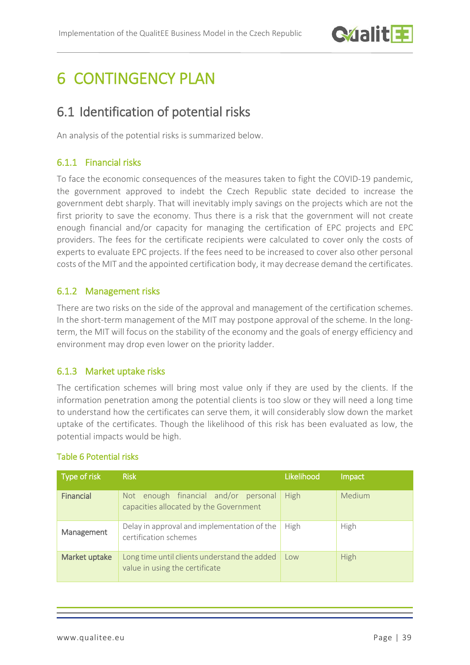

# <span id="page-38-0"></span>**6 CONTINGENCY PLAN**

# <span id="page-38-1"></span>6.1 Identification of potential risks

An analysis of the potential risks is summarized below.

## <span id="page-38-2"></span>6.1.1 Financial risks

To face the economic consequences of the measures taken to fight the COVID-19 pandemic, the government approved to indebt the Czech Republic state decided to increase the government debt sharply. That will inevitably imply savings on the projects which are not the first priority to save the economy. Thus there is a risk that the government will not create enough financial and/or capacity for managing the certification of EPC projects and EPC providers. The fees for the certificate recipients were calculated to cover only the costs of experts to evaluate EPC projects. If the fees need to be increased to cover also other personal costs of the MIT and the appointed certification body, it may decrease demand the certificates.

### <span id="page-38-3"></span>6.1.2 Management risks

There are two risks on the side of the approval and management of the certification schemes. In the short-term management of the MIT may postpone approval of the scheme. In the longterm, the MIT will focus on the stability of the economy and the goals of energy efficiency and environment may drop even lower on the priority ladder.

### <span id="page-38-4"></span>6.1.3 Market uptake risks

The certification schemes will bring most value only if they are used by the clients. If the information penetration among the potential clients is too slow or they will need a long time to understand how the certificates can serve them, it will considerably slow down the market uptake of the certificates. Though the likelihood of this risk has been evaluated as low, the potential impacts would be high.

### Table 6 Potential risks

| Type of risk  | <b>Risk</b>                                                                       | Likelihood  | Impact      |
|---------------|-----------------------------------------------------------------------------------|-------------|-------------|
| Financial     | enough financial and/or personal<br>Not<br>capacities allocated by the Government | <b>High</b> | Medium      |
| Management    | Delay in approval and implementation of the<br>certification schemes              | High        | High        |
| Market uptake | Long time until clients understand the added<br>value in using the certificate    | Low         | <b>High</b> |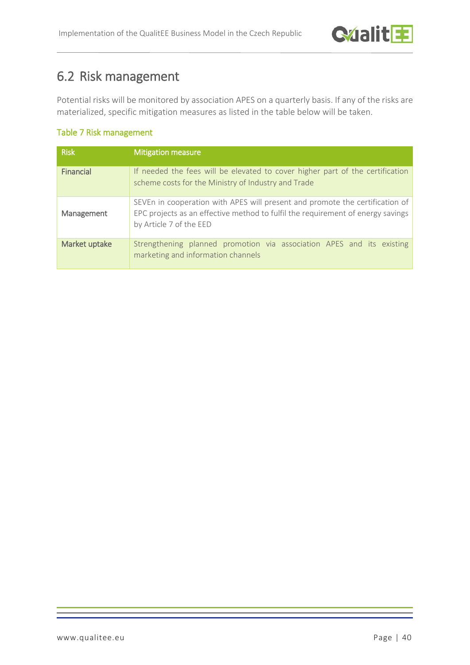# <span id="page-39-0"></span>6.2 Risk management

Potential risks will be monitored by association APES on a quarterly basis. If any of the risks are materialized, specific mitigation measures as listed in the table below will be taken.

### Table 7 Risk management

| <b>Risk</b>   | <b>Mitigation measure</b>                                                                                                                                                                  |
|---------------|--------------------------------------------------------------------------------------------------------------------------------------------------------------------------------------------|
| Financial     | If needed the fees will be elevated to cover higher part of the certification<br>scheme costs for the Ministry of Industry and Trade                                                       |
| Management    | SEVEn in cooperation with APES will present and promote the certification of<br>EPC projects as an effective method to fulfil the requirement of energy savings<br>by Article 7 of the EED |
| Market uptake | Strengthening planned promotion via association APES and its existing<br>marketing and information channels                                                                                |